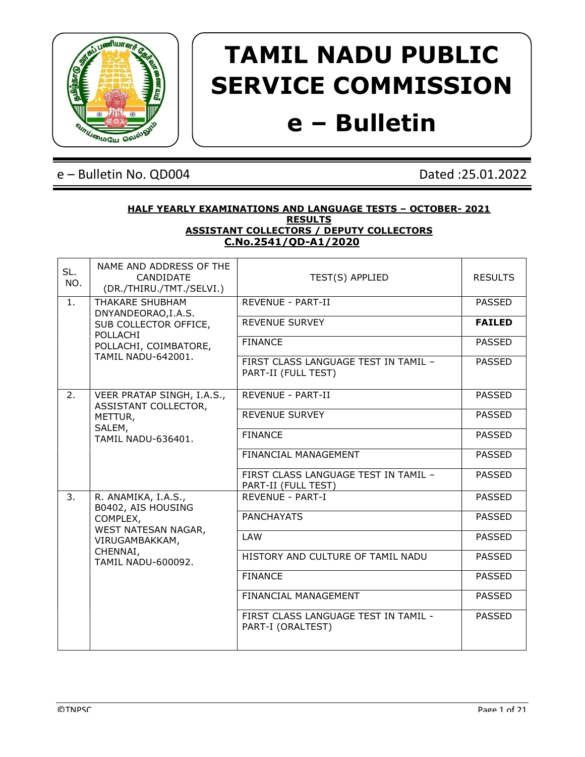

# TAMIL NADU PUBLIC SERVICE COMMISSION

## e – Bulletin

### e – Bulletin No. QD004 Dated :25.01.2022

#### HALF YEARLY EXAMINATIONS AND LANGUAGE TESTS – OCTOBER- 2021 **RESULTS** ASSISTANT COLLECTORS / DEPUTY COLLECTORS C.No.2541/QD-A1/2020

| SL.<br>NO. | NAME AND ADDRESS OF THE<br>CANDIDATE<br>(DR./THIRU./TMT./SELVI.) | TEST(S) APPLIED                                             | <b>RESULTS</b> |
|------------|------------------------------------------------------------------|-------------------------------------------------------------|----------------|
| 1.         | THAKARE SHUBHAM<br>DNYANDEORAO, I.A.S.                           | <b>REVENUE - PART-II</b>                                    | <b>PASSED</b>  |
|            | SUB COLLECTOR OFFICE,<br>POLLACHI                                | REVENUE SURVEY                                              | <b>FAILED</b>  |
|            | POLLACHI, COIMBATORE,                                            | <b>FINANCE</b>                                              | <b>PASSED</b>  |
|            | <b>TAMIL NADU-642001.</b>                                        | FIRST CLASS LANGUAGE TEST IN TAMIL -<br>PART-II (FULL TEST) | <b>PASSED</b>  |
| 2.         | VEER PRATAP SINGH, I.A.S.,<br>ASSISTANT COLLECTOR,               | <b>REVENUE - PART-II</b>                                    | <b>PASSED</b>  |
|            | METTUR,                                                          | <b>REVENUE SURVEY</b>                                       | <b>PASSED</b>  |
|            | SALEM,<br>TAMIL NADU-636401.                                     | <b>FINANCE</b>                                              | <b>PASSED</b>  |
|            |                                                                  | FINANCIAL MANAGEMENT                                        | <b>PASSED</b>  |
|            |                                                                  | FIRST CLASS LANGUAGE TEST IN TAMIL -                        | <b>PASSED</b>  |
| 3.         | R. ANAMIKA, I.A.S.,                                              | REVENUE - PART-I                                            | <b>PASSED</b>  |
|            | COMPLEX,<br>WEST NATESAN NAGAR,<br>VIRUGAMBAKKAM,                | <b>PANCHAYATS</b>                                           | <b>PASSED</b>  |
|            |                                                                  | LAW                                                         | <b>PASSED</b>  |
|            | <b>TAMIL NADU-600092.</b>                                        | HISTORY AND CULTURE OF TAMIL NADU                           | <b>PASSED</b>  |
|            |                                                                  | <b>FINANCE</b>                                              | <b>PASSED</b>  |
|            |                                                                  | FINANCIAL MANAGEMENT                                        | <b>PASSED</b>  |
|            |                                                                  | FIRST CLASS LANGUAGE TEST IN TAMIL -<br>PART-I (ORALTEST)   | <b>PASSED</b>  |
|            | B0402, AIS HOUSING<br>CHENNAI,                                   | PART-II (FULL TEST)                                         |                |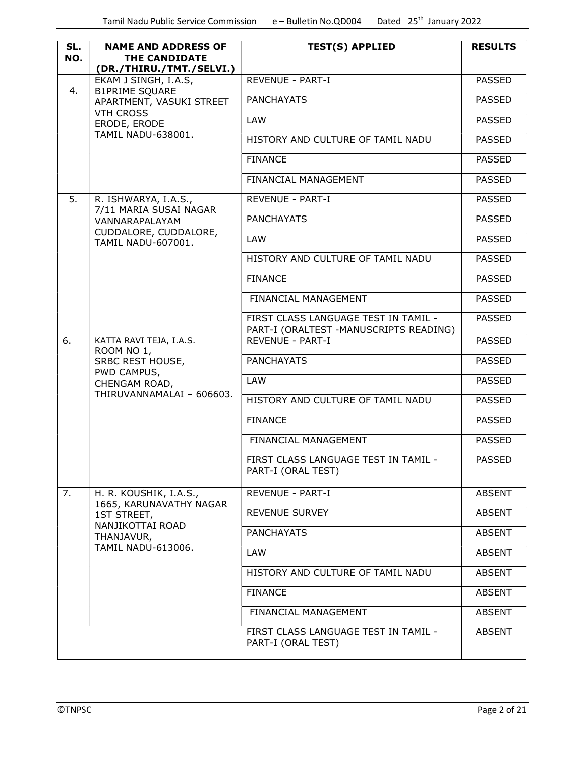| SL.<br>NO. | <b>NAME AND ADDRESS OF</b><br>THE CANDIDATE<br>(DR./THIRU./TMT./SELVI.)                                                | <b>TEST(S) APPLIED</b>                                                          | <b>RESULTS</b> |
|------------|------------------------------------------------------------------------------------------------------------------------|---------------------------------------------------------------------------------|----------------|
|            | EKAM J SINGH, I.A.S,                                                                                                   | <b>REVENUE - PART-I</b>                                                         | <b>PASSED</b>  |
| 4.         | <b>B1PRIME SQUARE</b><br>APARTMENT, VASUKI STREET<br><b>VTH CROSS</b>                                                  | <b>PANCHAYATS</b>                                                               | <b>PASSED</b>  |
|            | ERODE, ERODE                                                                                                           | <b>LAW</b>                                                                      | <b>PASSED</b>  |
|            | TAMIL NADU-638001.                                                                                                     | HISTORY AND CULTURE OF TAMIL NADU                                               | <b>PASSED</b>  |
|            |                                                                                                                        | <b>FINANCE</b>                                                                  | <b>PASSED</b>  |
|            |                                                                                                                        | FINANCIAL MANAGEMENT                                                            | <b>PASSED</b>  |
| 5.         | R. ISHWARYA, I.A.S.,<br>7/11 MARIA SUSAI NAGAR                                                                         | REVENUE - PART-I                                                                | <b>PASSED</b>  |
|            | VANNARAPALAYAM                                                                                                         | <b>PANCHAYATS</b>                                                               | <b>PASSED</b>  |
|            | CUDDALORE, CUDDALORE,<br>TAMIL NADU-607001.                                                                            | LAW                                                                             | <b>PASSED</b>  |
|            |                                                                                                                        | HISTORY AND CULTURE OF TAMIL NADU                                               | <b>PASSED</b>  |
|            |                                                                                                                        | <b>FINANCE</b>                                                                  | <b>PASSED</b>  |
|            |                                                                                                                        | FINANCIAL MANAGEMENT                                                            | <b>PASSED</b>  |
|            |                                                                                                                        | FIRST CLASS LANGUAGE TEST IN TAMIL -<br>PART-I (ORALTEST - MANUSCRIPTS READING) | <b>PASSED</b>  |
| 6.         | KATTA RAVI TEJA, I.A.S.<br>ROOM NO 1,<br>SRBC REST HOUSE,<br>PWD CAMPUS,<br>CHENGAM ROAD,<br>THIRUVANNAMALAI - 606603. | <b>REVENUE - PART-I</b>                                                         | <b>PASSED</b>  |
|            |                                                                                                                        | <b>PANCHAYATS</b>                                                               | <b>PASSED</b>  |
|            |                                                                                                                        | LAW                                                                             | <b>PASSED</b>  |
|            |                                                                                                                        | HISTORY AND CULTURE OF TAMIL NADU                                               | <b>PASSED</b>  |
|            |                                                                                                                        | <b>FINANCE</b>                                                                  | <b>PASSED</b>  |
|            |                                                                                                                        | FINANCIAL MANAGEMENT                                                            | <b>PASSED</b>  |
|            |                                                                                                                        | FIRST CLASS LANGUAGE TEST IN TAMIL -<br>PART-I (ORAL TEST)                      | <b>PASSED</b>  |
| 7.         | H. R. KOUSHIK, I.A.S.,                                                                                                 | REVENUE - PART-I                                                                | <b>ABSENT</b>  |
|            | 1665, KARUNAVATHY NAGAR<br>1ST STREET,                                                                                 | <b>REVENUE SURVEY</b>                                                           | ABSENT         |
|            | NANJIKOTTAI ROAD<br>THANJAVUR,                                                                                         | <b>PANCHAYATS</b>                                                               | <b>ABSENT</b>  |
|            | TAMIL NADU-613006.                                                                                                     | LAW                                                                             | <b>ABSENT</b>  |
|            |                                                                                                                        | HISTORY AND CULTURE OF TAMIL NADU                                               | <b>ABSENT</b>  |
|            |                                                                                                                        | <b>FINANCE</b>                                                                  | <b>ABSENT</b>  |
|            |                                                                                                                        | FINANCIAL MANAGEMENT                                                            | <b>ABSENT</b>  |
|            |                                                                                                                        | FIRST CLASS LANGUAGE TEST IN TAMIL -<br>PART-I (ORAL TEST)                      | <b>ABSENT</b>  |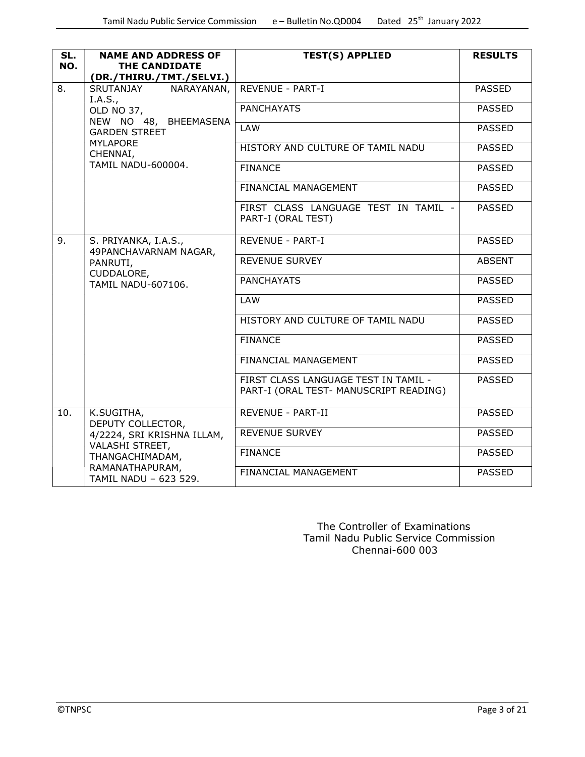| SL.<br>NO. | <b>NAME AND ADDRESS OF</b><br>THE CANDIDATE<br>(DR./THIRU./TMT./SELVI.) | <b>TEST(S) APPLIED</b>                                                         | <b>RESULTS</b> |
|------------|-------------------------------------------------------------------------|--------------------------------------------------------------------------------|----------------|
| 8.         | NARAYANAN,<br>SRUTANJAY<br>I.A.S.,                                      | REVENUE - PART-I                                                               | <b>PASSED</b>  |
|            | OLD NO 37,                                                              | <b>PANCHAYATS</b>                                                              | <b>PASSED</b>  |
|            | NEW NO 48, BHEEMASENA<br><b>GARDEN STREET</b>                           | <b>LAW</b>                                                                     | <b>PASSED</b>  |
|            | <b>MYLAPORE</b><br>CHENNAI,                                             | HISTORY AND CULTURE OF TAMIL NADU                                              | <b>PASSED</b>  |
|            | <b>TAMIL NADU-600004.</b>                                               | <b>FINANCE</b>                                                                 | <b>PASSED</b>  |
|            |                                                                         | FINANCIAL MANAGEMENT                                                           | <b>PASSED</b>  |
|            |                                                                         | FIRST CLASS LANGUAGE TEST IN TAMIL -<br>PART-I (ORAL TEST)                     | <b>PASSED</b>  |
| 9.         | S. PRIYANKA, I.A.S.,<br>49PANCHAVARNAM NAGAR,                           | REVENUE - PART-I                                                               | <b>PASSED</b>  |
|            | PANRUTI,<br>CUDDALORE,<br><b>TAMIL NADU-607106.</b>                     | <b>REVENUE SURVEY</b>                                                          | <b>ABSENT</b>  |
|            |                                                                         | <b>PANCHAYATS</b>                                                              | <b>PASSED</b>  |
|            |                                                                         | <b>LAW</b>                                                                     | <b>PASSED</b>  |
|            |                                                                         | HISTORY AND CULTURE OF TAMIL NADU                                              | <b>PASSED</b>  |
|            |                                                                         | <b>FINANCE</b>                                                                 | <b>PASSED</b>  |
|            |                                                                         | FINANCIAL MANAGEMENT                                                           | <b>PASSED</b>  |
|            |                                                                         | FIRST CLASS LANGUAGE TEST IN TAMIL -<br>PART-I (ORAL TEST- MANUSCRIPT READING) | <b>PASSED</b>  |
| 10.        | K.SUGITHA,<br>DEPUTY COLLECTOR,                                         | REVENUE - PART-II                                                              | <b>PASSED</b>  |
|            | 4/2224, SRI KRISHNA ILLAM,                                              | <b>REVENUE SURVEY</b>                                                          | <b>PASSED</b>  |
|            | VALASHI STREET,<br>THANGACHIMADAM,                                      | <b>FINANCE</b>                                                                 | <b>PASSED</b>  |
|            | RAMANATHAPURAM,<br>TAMIL NADU - 623 529.                                | FINANCIAL MANAGEMENT                                                           | <b>PASSED</b>  |

 The Controller of Examinations Tamil Nadu Public Service Commission Chennai-600 003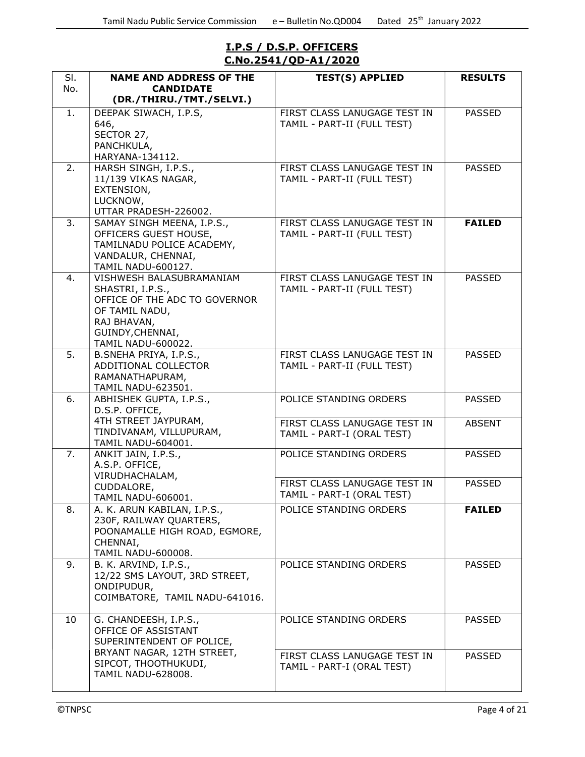#### I.P.S / D.S.P. OFFICERS C.No.2541/QD-A1/2020

| SI. | <b>NAME AND ADDRESS OF THE</b>                     | <b>TEST(S) APPLIED</b>       | <b>RESULTS</b> |
|-----|----------------------------------------------------|------------------------------|----------------|
| No. | <b>CANDIDATE</b>                                   |                              |                |
|     | (DR./THIRU./TMT./SELVI.)                           |                              |                |
| 1.  | DEEPAK SIWACH, I.P.S,                              | FIRST CLASS LANUGAGE TEST IN | <b>PASSED</b>  |
|     | 646,<br>SECTOR 27,                                 | TAMIL - PART-II (FULL TEST)  |                |
|     | PANCHKULA,                                         |                              |                |
|     | HARYANA-134112.                                    |                              |                |
| 2.  | HARSH SINGH, I.P.S.,                               | FIRST CLASS LANUGAGE TEST IN | <b>PASSED</b>  |
|     | 11/139 VIKAS NAGAR,                                | TAMIL - PART-II (FULL TEST)  |                |
|     | EXTENSION,                                         |                              |                |
|     | LUCKNOW,                                           |                              |                |
|     | UTTAR PRADESH-226002.                              |                              |                |
| 3.  | SAMAY SINGH MEENA, I.P.S.,                         | FIRST CLASS LANUGAGE TEST IN | <b>FAILED</b>  |
|     | OFFICERS GUEST HOUSE,                              | TAMIL - PART-II (FULL TEST)  |                |
|     | TAMILNADU POLICE ACADEMY,<br>VANDALUR, CHENNAI,    |                              |                |
|     | <b>TAMIL NADU-600127.</b>                          |                              |                |
| 4.  | VISHWESH BALASUBRAMANIAM                           | FIRST CLASS LANUGAGE TEST IN | <b>PASSED</b>  |
|     | SHASTRI, I.P.S.,                                   | TAMIL - PART-II (FULL TEST)  |                |
|     | OFFICE OF THE ADC TO GOVERNOR                      |                              |                |
|     | OF TAMIL NADU,                                     |                              |                |
|     | RAJ BHAVAN,                                        |                              |                |
|     | GUINDY, CHENNAI,                                   |                              |                |
| 5.  | TAMIL NADU-600022.                                 | FIRST CLASS LANUGAGE TEST IN | <b>PASSED</b>  |
|     | B.SNEHA PRIYA, I.P.S.,<br>ADDITIONAL COLLECTOR     | TAMIL - PART-II (FULL TEST)  |                |
|     | RAMANATHAPURAM,                                    |                              |                |
|     | TAMIL NADU-623501.                                 |                              |                |
| 6.  | ABHISHEK GUPTA, I.P.S.,                            | POLICE STANDING ORDERS       | <b>PASSED</b>  |
|     | D.S.P. OFFICE,                                     |                              |                |
|     | 4TH STREET JAYPURAM,                               | FIRST CLASS LANUGAGE TEST IN | <b>ABSENT</b>  |
|     | TINDIVANAM, VILLUPURAM,                            | TAMIL - PART-I (ORAL TEST)   |                |
| 7.  | <b>TAMIL NADU-604001.</b><br>ANKIT JAIN, I.P.S.,   | POLICE STANDING ORDERS       | <b>PASSED</b>  |
|     | A.S.P. OFFICE,                                     |                              |                |
|     | VIRUDHACHALAM,                                     |                              |                |
|     | CUDDALORE,                                         | FIRST CLASS LANUGAGE TEST IN | <b>PASSED</b>  |
|     | TAMIL NADU-606001.                                 | TAMIL - PART-I (ORAL TEST)   |                |
| 8.  | A. K. ARUN KABILAN, I.P.S.,                        | POLICE STANDING ORDERS       | <b>FAILED</b>  |
|     | 230F, RAILWAY QUARTERS,                            |                              |                |
|     | POONAMALLE HIGH ROAD, EGMORE,                      |                              |                |
|     | CHENNAI,                                           |                              |                |
| 9.  | TAMIL NADU-600008.<br>B. K. ARVIND, I.P.S.,        | POLICE STANDING ORDERS       | <b>PASSED</b>  |
|     | 12/22 SMS LAYOUT, 3RD STREET,                      |                              |                |
|     | ONDIPUDUR,                                         |                              |                |
|     | COIMBATORE, TAMIL NADU-641016.                     |                              |                |
|     |                                                    |                              |                |
| 10  | G. CHANDEESH, I.P.S.,                              | POLICE STANDING ORDERS       | <b>PASSED</b>  |
|     | OFFICE OF ASSISTANT                                |                              |                |
|     | SUPERINTENDENT OF POLICE,                          |                              |                |
|     | BRYANT NAGAR, 12TH STREET,<br>SIPCOT, THOOTHUKUDI, | FIRST CLASS LANUGAGE TEST IN | <b>PASSED</b>  |
|     | <b>TAMIL NADU-628008.</b>                          | TAMIL - PART-I (ORAL TEST)   |                |
|     |                                                    |                              |                |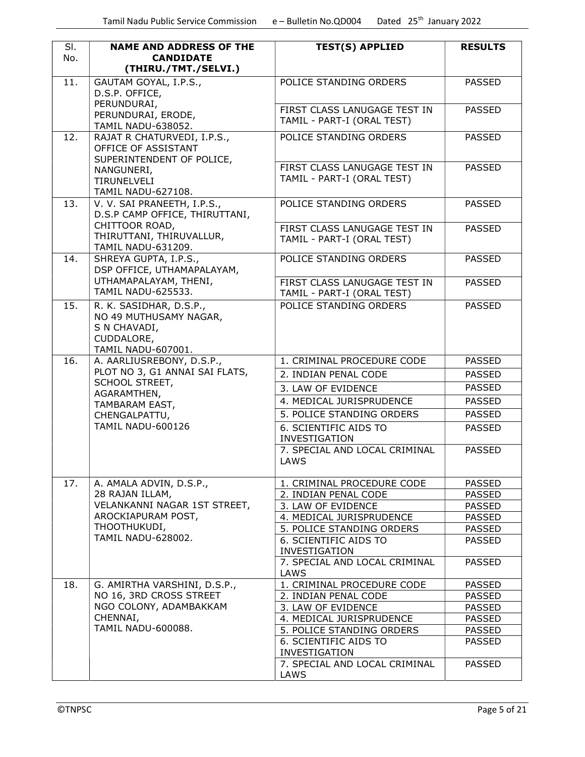| SI. | <b>NAME AND ADDRESS OF THE</b>                                | <b>TEST(S) APPLIED</b>                                | <b>RESULTS</b>                 |
|-----|---------------------------------------------------------------|-------------------------------------------------------|--------------------------------|
| No. | <b>CANDIDATE</b><br>(THIRU./TMT./SELVI.)                      |                                                       |                                |
| 11. | GAUTAM GOYAL, I.P.S.,                                         | POLICE STANDING ORDERS                                | <b>PASSED</b>                  |
|     | D.S.P. OFFICE,                                                |                                                       |                                |
|     | PERUNDURAI,                                                   | FIRST CLASS LANUGAGE TEST IN                          |                                |
|     | PERUNDURAI, ERODE,                                            | TAMIL - PART-I (ORAL TEST)                            | <b>PASSED</b>                  |
|     | TAMIL NADU-638052.                                            |                                                       |                                |
| 12. | RAJAT R CHATURVEDI, I.P.S.,<br>OFFICE OF ASSISTANT            | POLICE STANDING ORDERS                                | <b>PASSED</b>                  |
|     | SUPERINTENDENT OF POLICE,                                     |                                                       |                                |
|     | NANGUNERI,                                                    | FIRST CLASS LANUGAGE TEST IN                          | <b>PASSED</b>                  |
|     | TIRUNELVELI                                                   | TAMIL - PART-I (ORAL TEST)                            |                                |
|     | <b>TAMIL NADU-627108.</b>                                     |                                                       |                                |
| 13. | V. V. SAI PRANEETH, I.P.S.,<br>D.S.P CAMP OFFICE, THIRUTTANI, | POLICE STANDING ORDERS                                | <b>PASSED</b>                  |
|     | CHITTOOR ROAD,                                                | FIRST CLASS LANUGAGE TEST IN                          | <b>PASSED</b>                  |
|     | THIRUTTANI, THIRUVALLUR,<br><b>TAMIL NADU-631209.</b>         | TAMIL - PART-I (ORAL TEST)                            |                                |
| 14. | SHREYA GUPTA, I.P.S.,                                         | POLICE STANDING ORDERS                                | <b>PASSED</b>                  |
|     | DSP OFFICE, UTHAMAPALAYAM,                                    |                                                       |                                |
|     | UTHAMAPALAYAM, THENI,                                         | FIRST CLASS LANUGAGE TEST IN                          | <b>PASSED</b>                  |
|     | <b>TAMIL NADU-625533.</b>                                     | TAMIL - PART-I (ORAL TEST)                            |                                |
| 15. | R. K. SASIDHAR, D.S.P.,                                       | POLICE STANDING ORDERS                                | <b>PASSED</b>                  |
|     | NO 49 MUTHUSAMY NAGAR,<br>S N CHAVADI,                        |                                                       |                                |
|     | CUDDALORE,                                                    |                                                       |                                |
|     | TAMIL NADU-607001.                                            |                                                       |                                |
| 16. | A. AARLIUSREBONY, D.S.P.,                                     | 1. CRIMINAL PROCEDURE CODE                            | <b>PASSED</b>                  |
|     | PLOT NO 3, G1 ANNAI SAI FLATS,                                | 2. INDIAN PENAL CODE                                  | <b>PASSED</b>                  |
|     | <b>SCHOOL STREET,</b>                                         | 3. LAW OF EVIDENCE                                    | <b>PASSED</b>                  |
|     | AGARAMTHEN,<br>TAMBARAM EAST,                                 | 4. MEDICAL JURISPRUDENCE                              | <b>PASSED</b>                  |
|     | CHENGALPATTU,                                                 | 5. POLICE STANDING ORDERS                             | <b>PASSED</b>                  |
|     | <b>TAMIL NADU-600126</b>                                      | 6. SCIENTIFIC AIDS TO                                 | <b>PASSED</b>                  |
|     |                                                               | INVESTIGATION                                         |                                |
|     |                                                               | 7. SPECIAL AND LOCAL CRIMINAL<br>LAWS                 | <b>PASSED</b>                  |
| 17. | A. AMALA ADVIN, D.S.P.,                                       | 1. CRIMINAL PROCEDURE CODE                            | <b>PASSED</b>                  |
|     | 28 RAJAN ILLAM,                                               | 2. INDIAN PENAL CODE                                  | <b>PASSED</b>                  |
|     | VELANKANNI NAGAR 1ST STREET,                                  | 3. LAW OF EVIDENCE                                    | <b>PASSED</b>                  |
|     | AROCKIAPURAM POST,                                            | 4. MEDICAL JURISPRUDENCE                              | <b>PASSED</b>                  |
|     | THOOTHUKUDI,                                                  | 5. POLICE STANDING ORDERS                             | <b>PASSED</b>                  |
|     | <b>TAMIL NADU-628002.</b>                                     | 6. SCIENTIFIC AIDS TO                                 | <b>PASSED</b>                  |
|     |                                                               | <b>INVESTIGATION</b><br>7. SPECIAL AND LOCAL CRIMINAL | <b>PASSED</b>                  |
|     |                                                               | LAWS                                                  |                                |
| 18. | G. AMIRTHA VARSHINI, D.S.P.,                                  | 1. CRIMINAL PROCEDURE CODE                            | <b>PASSED</b>                  |
|     | NO 16, 3RD CROSS STREET                                       | 2. INDIAN PENAL CODE                                  | <b>PASSED</b>                  |
|     | NGO COLONY, ADAMBAKKAM                                        | 3. LAW OF EVIDENCE                                    | <b>PASSED</b>                  |
|     | CHENNAI,<br>TAMIL NADU-600088.                                | 4. MEDICAL JURISPRUDENCE                              | <b>PASSED</b>                  |
|     |                                                               | 5. POLICE STANDING ORDERS<br>6. SCIENTIFIC AIDS TO    | <b>PASSED</b><br><b>PASSED</b> |
|     |                                                               | <b>INVESTIGATION</b>                                  |                                |
|     |                                                               | 7. SPECIAL AND LOCAL CRIMINAL                         | <b>PASSED</b>                  |
|     |                                                               | LAWS                                                  |                                |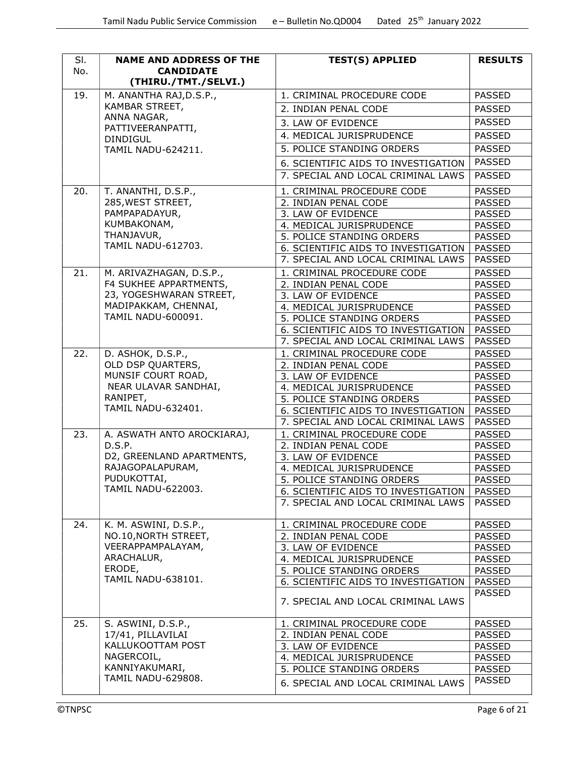| SI.<br>No. | <b>NAME AND ADDRESS OF THE</b><br><b>CANDIDATE</b> | <b>TEST(S) APPLIED</b>                                                    | <b>RESULTS</b>                 |
|------------|----------------------------------------------------|---------------------------------------------------------------------------|--------------------------------|
|            | (THIRU./TMT./SELVI.)                               |                                                                           |                                |
| 19.        | M. ANANTHA RAJ, D.S.P.,                            | 1. CRIMINAL PROCEDURE CODE                                                | <b>PASSED</b>                  |
|            | KAMBAR STREET,                                     | 2. INDIAN PENAL CODE                                                      | <b>PASSED</b>                  |
|            | ANNA NAGAR,                                        | 3. LAW OF EVIDENCE                                                        | <b>PASSED</b>                  |
|            | PATTIVEERANPATTI,                                  | 4. MEDICAL JURISPRUDENCE                                                  | <b>PASSED</b>                  |
|            | <b>DINDIGUL</b>                                    | 5. POLICE STANDING ORDERS                                                 | <b>PASSED</b>                  |
|            | <b>TAMIL NADU-624211.</b>                          |                                                                           |                                |
|            |                                                    | 6. SCIENTIFIC AIDS TO INVESTIGATION                                       | <b>PASSED</b>                  |
|            |                                                    | 7. SPECIAL AND LOCAL CRIMINAL LAWS                                        | <b>PASSED</b>                  |
| 20.        | T. ANANTHI, D.S.P.,                                | 1. CRIMINAL PROCEDURE CODE                                                | <b>PASSED</b>                  |
|            | 285, WEST STREET,                                  | 2. INDIAN PENAL CODE                                                      | <b>PASSED</b>                  |
|            | PAMPAPADAYUR,                                      | 3. LAW OF EVIDENCE                                                        | <b>PASSED</b>                  |
|            | KUMBAKONAM,<br>THANJAVUR,                          | 4. MEDICAL JURISPRUDENCE                                                  | <b>PASSED</b>                  |
|            | <b>TAMIL NADU-612703.</b>                          | 5. POLICE STANDING ORDERS                                                 | <b>PASSED</b>                  |
|            |                                                    | 6. SCIENTIFIC AIDS TO INVESTIGATION<br>7. SPECIAL AND LOCAL CRIMINAL LAWS | <b>PASSED</b><br><b>PASSED</b> |
|            |                                                    |                                                                           |                                |
| 21.        | M. ARIVAZHAGAN, D.S.P.,<br>F4 SUKHEE APPARTMENTS,  | 1. CRIMINAL PROCEDURE CODE                                                | <b>PASSED</b>                  |
|            | 23, YOGESHWARAN STREET,                            | 2. INDIAN PENAL CODE<br>3. LAW OF EVIDENCE                                | <b>PASSED</b><br><b>PASSED</b> |
|            | MADIPAKKAM, CHENNAI,                               | 4. MEDICAL JURISPRUDENCE                                                  | <b>PASSED</b>                  |
|            | TAMIL NADU-600091.                                 | 5. POLICE STANDING ORDERS                                                 | <b>PASSED</b>                  |
|            |                                                    | 6. SCIENTIFIC AIDS TO INVESTIGATION                                       | <b>PASSED</b>                  |
|            |                                                    | 7. SPECIAL AND LOCAL CRIMINAL LAWS                                        | <b>PASSED</b>                  |
| 22.        | D. ASHOK, D.S.P.,                                  | 1. CRIMINAL PROCEDURE CODE                                                | <b>PASSED</b>                  |
|            | OLD DSP QUARTERS,                                  | 2. INDIAN PENAL CODE                                                      | <b>PASSED</b>                  |
|            | MUNSIF COURT ROAD,                                 | 3. LAW OF EVIDENCE                                                        | <b>PASSED</b>                  |
|            | NEAR ULAVAR SANDHAI,                               | 4. MEDICAL JURISPRUDENCE                                                  | <b>PASSED</b>                  |
|            | RANIPET,                                           | 5. POLICE STANDING ORDERS                                                 | <b>PASSED</b>                  |
|            | TAMIL NADU-632401.                                 | 6. SCIENTIFIC AIDS TO INVESTIGATION                                       | <b>PASSED</b>                  |
|            |                                                    | 7. SPECIAL AND LOCAL CRIMINAL LAWS                                        | <b>PASSED</b>                  |
| 23.        | A. ASWATH ANTO AROCKIARAJ,                         | 1. CRIMINAL PROCEDURE CODE                                                | <b>PASSED</b>                  |
|            | D.S.P.                                             | 2. INDIAN PENAL CODE                                                      | <b>PASSED</b>                  |
|            | D2, GREENLAND APARTMENTS,<br>RAJAGOPALAPURAM,      | 3. LAW OF EVIDENCE                                                        | <b>PASSED</b>                  |
|            | PUDUKOTTAI,                                        | 4. MEDICAL JURISPRUDENCE                                                  | <b>PASSED</b>                  |
|            | <b>TAMIL NADU-622003.</b>                          | 5. POLICE STANDING ORDERS<br>6. SCIENTIFIC AIDS TO INVESTIGATION          | PASSED                         |
|            |                                                    | 7. SPECIAL AND LOCAL CRIMINAL LAWS                                        | <b>PASSED</b><br><b>PASSED</b> |
|            |                                                    |                                                                           |                                |
| 24.        | K. M. ASWINI, D.S.P.,                              | 1. CRIMINAL PROCEDURE CODE                                                | <b>PASSED</b>                  |
|            | NO.10, NORTH STREET,                               | 2. INDIAN PENAL CODE                                                      | <b>PASSED</b>                  |
|            | VEERAPPAMPALAYAM,                                  | 3. LAW OF EVIDENCE                                                        | <b>PASSED</b>                  |
|            | ARACHALUR,                                         | 4. MEDICAL JURISPRUDENCE                                                  | <b>PASSED</b>                  |
|            | ERODE,                                             | 5. POLICE STANDING ORDERS                                                 | <b>PASSED</b>                  |
|            | TAMIL NADU-638101.                                 | 6. SCIENTIFIC AIDS TO INVESTIGATION                                       | PASSED                         |
|            |                                                    | 7. SPECIAL AND LOCAL CRIMINAL LAWS                                        | <b>PASSED</b>                  |
| 25.        | S. ASWINI, D.S.P.,                                 | 1. CRIMINAL PROCEDURE CODE                                                | <b>PASSED</b>                  |
|            | 17/41, PILLAVILAI                                  | 2. INDIAN PENAL CODE                                                      | <b>PASSED</b>                  |
|            | KALLUKOOTTAM POST                                  | 3. LAW OF EVIDENCE                                                        | <b>PASSED</b>                  |
|            | NAGERCOIL,                                         | 4. MEDICAL JURISPRUDENCE                                                  | <b>PASSED</b>                  |
|            | KANNIYAKUMARI,                                     | 5. POLICE STANDING ORDERS                                                 | <b>PASSED</b>                  |
|            | TAMIL NADU-629808.                                 | 6. SPECIAL AND LOCAL CRIMINAL LAWS                                        | <b>PASSED</b>                  |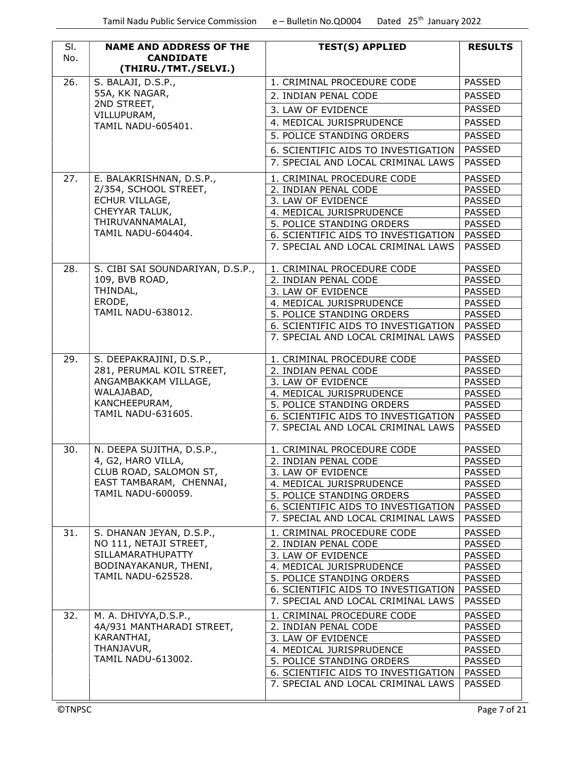| No. | <b>NAME AND ADDRESS OF THE</b><br><b>CANDIDATE</b><br>(THIRU./TMT./SELVI.) | <b>TEST(S) APPLIED</b>              | <b>RESULTS</b> |
|-----|----------------------------------------------------------------------------|-------------------------------------|----------------|
| 26. | S. BALAJI, D.S.P.,                                                         | 1. CRIMINAL PROCEDURE CODE          | <b>PASSED</b>  |
|     | 55A, KK NAGAR,                                                             | 2. INDIAN PENAL CODE                | <b>PASSED</b>  |
|     | 2ND STREET,                                                                | 3. LAW OF EVIDENCE                  | <b>PASSED</b>  |
|     | VILLUPURAM,                                                                | 4. MEDICAL JURISPRUDENCE            | <b>PASSED</b>  |
|     | TAMIL NADU-605401.                                                         | 5. POLICE STANDING ORDERS           | <b>PASSED</b>  |
|     |                                                                            |                                     |                |
|     |                                                                            | 6. SCIENTIFIC AIDS TO INVESTIGATION | <b>PASSED</b>  |
|     |                                                                            | 7. SPECIAL AND LOCAL CRIMINAL LAWS  | <b>PASSED</b>  |
| 27. | E. BALAKRISHNAN, D.S.P.,                                                   | 1. CRIMINAL PROCEDURE CODE          | <b>PASSED</b>  |
|     | 2/354, SCHOOL STREET,                                                      | 2. INDIAN PENAL CODE                | <b>PASSED</b>  |
|     | ECHUR VILLAGE,                                                             | 3. LAW OF EVIDENCE                  | <b>PASSED</b>  |
|     | CHEYYAR TALUK,                                                             | 4. MEDICAL JURISPRUDENCE            | <b>PASSED</b>  |
|     | THIRUVANNAMALAI,                                                           | 5. POLICE STANDING ORDERS           | <b>PASSED</b>  |
|     | TAMIL NADU-604404.                                                         | 6. SCIENTIFIC AIDS TO INVESTIGATION | PASSED         |
|     |                                                                            | 7. SPECIAL AND LOCAL CRIMINAL LAWS  | <b>PASSED</b>  |
| 28. | S. CIBI SAI SOUNDARIYAN, D.S.P.,                                           | 1. CRIMINAL PROCEDURE CODE          | <b>PASSED</b>  |
|     | 109, BVB ROAD,                                                             | 2. INDIAN PENAL CODE                | <b>PASSED</b>  |
|     | THINDAL,                                                                   | 3. LAW OF EVIDENCE                  | <b>PASSED</b>  |
|     | ERODE,                                                                     | 4. MEDICAL JURISPRUDENCE            | <b>PASSED</b>  |
|     | <b>TAMIL NADU-638012.</b>                                                  | 5. POLICE STANDING ORDERS           | <b>PASSED</b>  |
|     |                                                                            | 6. SCIENTIFIC AIDS TO INVESTIGATION | PASSED         |
|     |                                                                            | 7. SPECIAL AND LOCAL CRIMINAL LAWS  | <b>PASSED</b>  |
| 29. | S. DEEPAKRAJINI, D.S.P.,                                                   | 1. CRIMINAL PROCEDURE CODE          | <b>PASSED</b>  |
|     | 281, PERUMAL KOIL STREET,                                                  | 2. INDIAN PENAL CODE                | <b>PASSED</b>  |
|     | ANGAMBAKKAM VILLAGE,                                                       | 3. LAW OF EVIDENCE                  | <b>PASSED</b>  |
|     | WALAJABAD,                                                                 | 4. MEDICAL JURISPRUDENCE            | <b>PASSED</b>  |
|     | KANCHEEPURAM,                                                              | 5. POLICE STANDING ORDERS           | <b>PASSED</b>  |
|     | <b>TAMIL NADU-631605.</b>                                                  | 6. SCIENTIFIC AIDS TO INVESTIGATION | PASSED         |
|     |                                                                            | 7. SPECIAL AND LOCAL CRIMINAL LAWS  | <b>PASSED</b>  |
| 30. | N. DEEPA SUJITHA, D.S.P.,                                                  | 1. CRIMINAL PROCEDURE CODE          | <b>PASSED</b>  |
|     | 4, G2, HARO VILLA,                                                         | 2. INDIAN PENAL CODE                | PASSED         |
|     | CLUB ROAD, SALOMON ST,                                                     | 3. LAW OF EVIDENCE                  | <b>PASSED</b>  |
|     | EAST TAMBARAM, CHENNAI,                                                    | 4. MEDICAL JURISPRUDENCE            | <b>PASSED</b>  |
|     | TAMIL NADU-600059.                                                         | 5. POLICE STANDING ORDERS           | <b>PASSED</b>  |
|     |                                                                            | 6. SCIENTIFIC AIDS TO INVESTIGATION | <b>PASSED</b>  |
|     |                                                                            | 7. SPECIAL AND LOCAL CRIMINAL LAWS  | <b>PASSED</b>  |
| 31. | S. DHANAN JEYAN, D.S.P.,                                                   | 1. CRIMINAL PROCEDURE CODE          | <b>PASSED</b>  |
|     | NO 111, NETAJI STREET,                                                     | 2. INDIAN PENAL CODE                | <b>PASSED</b>  |
|     | SILLAMARATHUPATTY                                                          | 3. LAW OF EVIDENCE                  | <b>PASSED</b>  |
|     | BODINAYAKANUR, THENI,                                                      | 4. MEDICAL JURISPRUDENCE            | <b>PASSED</b>  |
|     | TAMIL NADU-625528.                                                         | 5. POLICE STANDING ORDERS           | <b>PASSED</b>  |
|     |                                                                            | 6. SCIENTIFIC AIDS TO INVESTIGATION | PASSED         |
|     |                                                                            | 7. SPECIAL AND LOCAL CRIMINAL LAWS  | <b>PASSED</b>  |
| 32. | M. A. DHIVYA, D.S.P.,                                                      | 1. CRIMINAL PROCEDURE CODE          | <b>PASSED</b>  |
|     | 4A/931 MANTHARADI STREET,                                                  | 2. INDIAN PENAL CODE                | <b>PASSED</b>  |
|     | KARANTHAI,                                                                 | 3. LAW OF EVIDENCE                  | <b>PASSED</b>  |
|     | THANJAVUR,                                                                 | 4. MEDICAL JURISPRUDENCE            | <b>PASSED</b>  |
|     | TAMIL NADU-613002.                                                         | 5. POLICE STANDING ORDERS           | <b>PASSED</b>  |
|     |                                                                            | 6. SCIENTIFIC AIDS TO INVESTIGATION | PASSED         |
|     |                                                                            |                                     |                |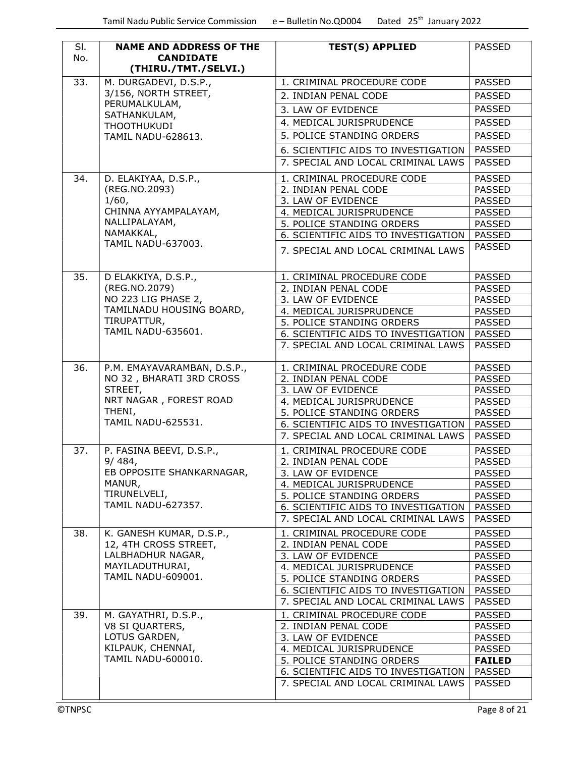| SI.<br>No. | <b>NAME AND ADDRESS OF THE</b><br><b>CANDIDATE</b><br>(THIRU./TMT./SELVI.) | <b>TEST(S) APPLIED</b>                                                    | <b>PASSED</b>                  |
|------------|----------------------------------------------------------------------------|---------------------------------------------------------------------------|--------------------------------|
| 33.        | M. DURGADEVI, D.S.P.,                                                      | 1. CRIMINAL PROCEDURE CODE                                                | <b>PASSED</b>                  |
|            | 3/156, NORTH STREET,                                                       | 2. INDIAN PENAL CODE                                                      | <b>PASSED</b>                  |
|            | PERUMALKULAM,                                                              | 3. LAW OF EVIDENCE                                                        | <b>PASSED</b>                  |
|            | SATHANKULAM,<br><b>THOOTHUKUDI</b>                                         | 4. MEDICAL JURISPRUDENCE                                                  | <b>PASSED</b>                  |
|            | TAMIL NADU-628613.                                                         | 5. POLICE STANDING ORDERS                                                 | <b>PASSED</b>                  |
|            |                                                                            | 6. SCIENTIFIC AIDS TO INVESTIGATION                                       | <b>PASSED</b>                  |
|            |                                                                            | 7. SPECIAL AND LOCAL CRIMINAL LAWS                                        | <b>PASSED</b>                  |
| 34.        | D. ELAKIYAA, D.S.P.,                                                       | 1. CRIMINAL PROCEDURE CODE                                                | <b>PASSED</b>                  |
|            | (REG.NO.2093)                                                              | 2. INDIAN PENAL CODE                                                      | <b>PASSED</b>                  |
|            | 1/60,                                                                      | 3. LAW OF EVIDENCE                                                        | <b>PASSED</b>                  |
|            | CHINNA AYYAMPALAYAM,                                                       | 4. MEDICAL JURISPRUDENCE                                                  | <b>PASSED</b>                  |
|            | NALLIPALAYAM,                                                              | 5. POLICE STANDING ORDERS                                                 | <b>PASSED</b>                  |
|            | NAMAKKAL,                                                                  | 6. SCIENTIFIC AIDS TO INVESTIGATION                                       | <b>PASSED</b>                  |
|            | TAMIL NADU-637003.                                                         | 7. SPECIAL AND LOCAL CRIMINAL LAWS                                        | <b>PASSED</b>                  |
| 35.        | D ELAKKIYA, D.S.P.,                                                        | 1. CRIMINAL PROCEDURE CODE                                                | <b>PASSED</b>                  |
|            | (REG.NO.2079)                                                              | 2. INDIAN PENAL CODE                                                      | <b>PASSED</b>                  |
|            | NO 223 LIG PHASE 2,                                                        | 3. LAW OF EVIDENCE                                                        | <b>PASSED</b>                  |
|            | TAMILNADU HOUSING BOARD,                                                   | 4. MEDICAL JURISPRUDENCE                                                  | <b>PASSED</b>                  |
|            | TIRUPATTUR,                                                                | 5. POLICE STANDING ORDERS                                                 | <b>PASSED</b>                  |
|            | TAMIL NADU-635601.                                                         | 6. SCIENTIFIC AIDS TO INVESTIGATION                                       | <b>PASSED</b>                  |
|            |                                                                            | 7. SPECIAL AND LOCAL CRIMINAL LAWS                                        | <b>PASSED</b>                  |
| 36.        | P.M. EMAYAVARAMBAN, D.S.P.,                                                | 1. CRIMINAL PROCEDURE CODE                                                | <b>PASSED</b>                  |
|            | NO 32, BHARATI 3RD CROSS                                                   | 2. INDIAN PENAL CODE                                                      | <b>PASSED</b>                  |
|            | STREET,                                                                    | 3. LAW OF EVIDENCE                                                        | <b>PASSED</b>                  |
|            | NRT NAGAR, FOREST ROAD<br>THENI,                                           | 4. MEDICAL JURISPRUDENCE                                                  | <b>PASSED</b>                  |
|            | <b>TAMIL NADU-625531.</b>                                                  | 5. POLICE STANDING ORDERS                                                 | <b>PASSED</b>                  |
|            |                                                                            | 6. SCIENTIFIC AIDS TO INVESTIGATION<br>7. SPECIAL AND LOCAL CRIMINAL LAWS | <b>PASSED</b><br><b>PASSED</b> |
|            |                                                                            |                                                                           |                                |
| 37.        | P. FASINA BEEVI, D.S.P.,                                                   | 1. CRIMINAL PROCEDURE CODE                                                | <b>PASSED</b>                  |
|            | 9/484,<br>EB OPPOSITE SHANKARNAGAR,                                        | 2. INDIAN PENAL CODE                                                      | <b>PASSED</b>                  |
|            | MANUR,                                                                     | 3. LAW OF EVIDENCE<br>4. MEDICAL JURISPRUDENCE                            | <b>PASSED</b><br><b>PASSED</b> |
|            | TIRUNELVELI,                                                               | 5. POLICE STANDING ORDERS                                                 | <b>PASSED</b>                  |
|            | <b>TAMIL NADU-627357.</b>                                                  | 6. SCIENTIFIC AIDS TO INVESTIGATION                                       | <b>PASSED</b>                  |
|            |                                                                            | 7. SPECIAL AND LOCAL CRIMINAL LAWS                                        | PASSED                         |
| 38.        | K. GANESH KUMAR, D.S.P.,                                                   | 1. CRIMINAL PROCEDURE CODE                                                | <b>PASSED</b>                  |
|            | 12, 4TH CROSS STREET,                                                      | 2. INDIAN PENAL CODE                                                      | <b>PASSED</b>                  |
|            | LALBHADHUR NAGAR,                                                          | 3. LAW OF EVIDENCE                                                        | <b>PASSED</b>                  |
|            | MAYILADUTHURAI,                                                            | 4. MEDICAL JURISPRUDENCE                                                  | <b>PASSED</b>                  |
|            | TAMIL NADU-609001.                                                         | 5. POLICE STANDING ORDERS                                                 | <b>PASSED</b>                  |
|            |                                                                            | 6. SCIENTIFIC AIDS TO INVESTIGATION                                       | <b>PASSED</b>                  |
|            |                                                                            | 7. SPECIAL AND LOCAL CRIMINAL LAWS                                        | PASSED                         |
| 39.        | M. GAYATHRI, D.S.P.,                                                       | 1. CRIMINAL PROCEDURE CODE                                                | <b>PASSED</b>                  |
|            | V8 SI QUARTERS,<br>LOTUS GARDEN,                                           | 2. INDIAN PENAL CODE                                                      | <b>PASSED</b>                  |
|            | KILPAUK, CHENNAI,                                                          | 3. LAW OF EVIDENCE<br>4. MEDICAL JURISPRUDENCE                            | <b>PASSED</b>                  |
|            | TAMIL NADU-600010.                                                         | 5. POLICE STANDING ORDERS                                                 | PASSED<br><b>FAILED</b>        |
|            |                                                                            | 6. SCIENTIFIC AIDS TO INVESTIGATION                                       | <b>PASSED</b>                  |
|            |                                                                            | 7. SPECIAL AND LOCAL CRIMINAL LAWS                                        | <b>PASSED</b>                  |
|            |                                                                            |                                                                           |                                |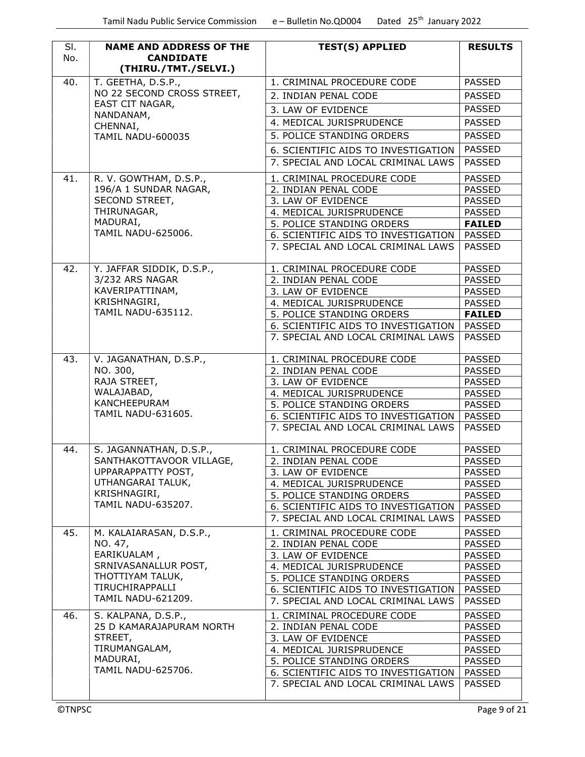| SI.<br>No.    | <b>NAME AND ADDRESS OF THE</b><br><b>CANDIDATE</b> | <b>TEST(S) APPLIED</b>                                                    | <b>RESULTS</b>                 |
|---------------|----------------------------------------------------|---------------------------------------------------------------------------|--------------------------------|
|               | (THIRU./TMT./SELVI.)                               |                                                                           |                                |
| 40.           | T. GEETHA, D.S.P.,                                 | 1. CRIMINAL PROCEDURE CODE                                                | <b>PASSED</b>                  |
|               | NO 22 SECOND CROSS STREET,                         | 2. INDIAN PENAL CODE                                                      | <b>PASSED</b>                  |
|               | EAST CIT NAGAR,<br>NANDANAM,                       | 3. LAW OF EVIDENCE                                                        | <b>PASSED</b>                  |
|               | CHENNAI,                                           | 4. MEDICAL JURISPRUDENCE                                                  | <b>PASSED</b>                  |
|               | <b>TAMIL NADU-600035</b>                           | 5. POLICE STANDING ORDERS                                                 | <b>PASSED</b>                  |
|               |                                                    | 6. SCIENTIFIC AIDS TO INVESTIGATION                                       | <b>PASSED</b>                  |
|               |                                                    | 7. SPECIAL AND LOCAL CRIMINAL LAWS                                        | <b>PASSED</b>                  |
|               | R. V. GOWTHAM, D.S.P.,                             |                                                                           |                                |
| 41.           | 196/A 1 SUNDAR NAGAR,                              | 1. CRIMINAL PROCEDURE CODE<br>2. INDIAN PENAL CODE                        | <b>PASSED</b><br><b>PASSED</b> |
|               | SECOND STREET,                                     | 3. LAW OF EVIDENCE                                                        | <b>PASSED</b>                  |
|               | THIRUNAGAR,                                        | 4. MEDICAL JURISPRUDENCE                                                  | <b>PASSED</b>                  |
|               | MADURAI,                                           | 5. POLICE STANDING ORDERS                                                 | <b>FAILED</b>                  |
|               | <b>TAMIL NADU-625006.</b>                          | 6. SCIENTIFIC AIDS TO INVESTIGATION                                       | PASSED                         |
|               |                                                    | 7. SPECIAL AND LOCAL CRIMINAL LAWS                                        | PASSED                         |
| 42.           | Y. JAFFAR SIDDIK, D.S.P.,                          | 1. CRIMINAL PROCEDURE CODE                                                | <b>PASSED</b>                  |
|               | 3/232 ARS NAGAR                                    | 2. INDIAN PENAL CODE                                                      | <b>PASSED</b>                  |
|               | KAVERIPATTINAM,                                    | 3. LAW OF EVIDENCE                                                        | <b>PASSED</b>                  |
|               | KRISHNAGIRI,                                       | 4. MEDICAL JURISPRUDENCE                                                  | <b>PASSED</b>                  |
|               | <b>TAMIL NADU-635112.</b>                          | 5. POLICE STANDING ORDERS                                                 | <b>FAILED</b>                  |
|               |                                                    | 6. SCIENTIFIC AIDS TO INVESTIGATION                                       | PASSED                         |
|               |                                                    | 7. SPECIAL AND LOCAL CRIMINAL LAWS                                        | <b>PASSED</b>                  |
| 43.           | V. JAGANATHAN, D.S.P.,                             | 1. CRIMINAL PROCEDURE CODE                                                | <b>PASSED</b>                  |
|               | NO. 300,                                           | 2. INDIAN PENAL CODE                                                      | <b>PASSED</b>                  |
|               | RAJA STREET,                                       | 3. LAW OF EVIDENCE                                                        | <b>PASSED</b>                  |
|               | WALAJABAD,                                         | 4. MEDICAL JURISPRUDENCE                                                  | <b>PASSED</b>                  |
|               | KANCHEEPURAM                                       | 5. POLICE STANDING ORDERS                                                 | <b>PASSED</b>                  |
|               | TAMIL NADU-631605.                                 | 6. SCIENTIFIC AIDS TO INVESTIGATION   PASSED                              |                                |
|               |                                                    | 7. SPECIAL AND LOCAL CRIMINAL LAWS                                        | <b>PASSED</b>                  |
| 44.           | S. JAGANNATHAN, D.S.P.,                            | 1. CRIMINAL PROCEDURE CODE                                                | <b>PASSED</b>                  |
|               | SANTHAKOTTAVOOR VILLAGE,                           | 2. INDIAN PENAL CODE                                                      | <b>PASSED</b>                  |
|               | UPPARAPPATTY POST,                                 | 3. LAW OF EVIDENCE                                                        | <b>PASSED</b>                  |
|               | UTHANGARAI TALUK,<br>KRISHNAGIRI,                  | 4. MEDICAL JURISPRUDENCE                                                  | PASSED                         |
|               | TAMIL NADU-635207.                                 | 5. POLICE STANDING ORDERS                                                 | <b>PASSED</b>                  |
|               |                                                    | 6. SCIENTIFIC AIDS TO INVESTIGATION<br>7. SPECIAL AND LOCAL CRIMINAL LAWS | <b>PASSED</b><br><b>PASSED</b> |
|               |                                                    |                                                                           |                                |
| 45.           | M. KALAIARASAN, D.S.P.,                            | 1. CRIMINAL PROCEDURE CODE                                                | <b>PASSED</b>                  |
|               | NO. 47,                                            | 2. INDIAN PENAL CODE                                                      | <b>PASSED</b>                  |
|               | EARIKUALAM,<br>SRNIVASANALLUR POST,                | 3. LAW OF EVIDENCE                                                        | <b>PASSED</b>                  |
|               | THOTTIYAM TALUK,                                   | 4. MEDICAL JURISPRUDENCE<br>5. POLICE STANDING ORDERS                     | <b>PASSED</b><br><b>PASSED</b> |
|               | TIRUCHIRAPPALLI                                    | 6. SCIENTIFIC AIDS TO INVESTIGATION                                       | PASSED                         |
|               | TAMIL NADU-621209.                                 | 7. SPECIAL AND LOCAL CRIMINAL LAWS                                        | <b>PASSED</b>                  |
| 46.           | S. KALPANA, D.S.P.,                                | 1. CRIMINAL PROCEDURE CODE                                                | <b>PASSED</b>                  |
|               | 25 D KAMARAJAPURAM NORTH                           | 2. INDIAN PENAL CODE                                                      | <b>PASSED</b>                  |
|               | STREET,                                            | 3. LAW OF EVIDENCE                                                        | <b>PASSED</b>                  |
|               | TIRUMANGALAM,                                      | 4. MEDICAL JURISPRUDENCE                                                  | <b>PASSED</b>                  |
|               | MADURAI,                                           | 5. POLICE STANDING ORDERS                                                 | <b>PASSED</b>                  |
|               | <b>TAMIL NADU-625706.</b>                          | 6. SCIENTIFIC AIDS TO INVESTIGATION                                       | PASSED                         |
|               |                                                    | 7. SPECIAL AND LOCAL CRIMINAL LAWS                                        | <b>PASSED</b>                  |
| <b>©TNPSC</b> |                                                    |                                                                           | Page 9 of 21                   |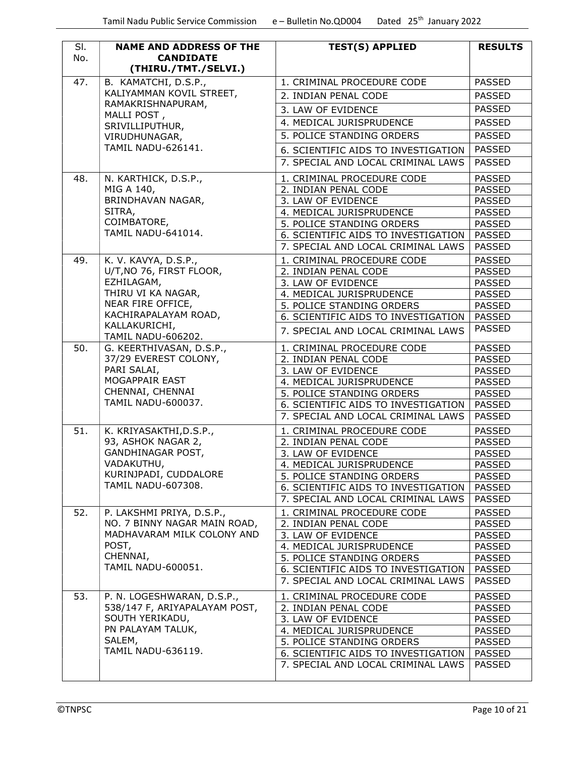| SI. | <b>NAME AND ADDRESS OF THE</b>                              | <b>TEST(S) APPLIED</b>                                                    | <b>RESULTS</b>                 |
|-----|-------------------------------------------------------------|---------------------------------------------------------------------------|--------------------------------|
| No. | <b>CANDIDATE</b>                                            |                                                                           |                                |
|     | (THIRU./TMT./SELVI.)                                        |                                                                           |                                |
| 47. | B. KAMATCHI, D.S.P.,<br>KALIYAMMAN KOVIL STREET,            | 1. CRIMINAL PROCEDURE CODE                                                | <b>PASSED</b>                  |
|     | RAMAKRISHNAPURAM,                                           | 2. INDIAN PENAL CODE                                                      | <b>PASSED</b>                  |
|     | MALLI POST,                                                 | 3. LAW OF EVIDENCE                                                        | <b>PASSED</b>                  |
|     | SRIVILLIPUTHUR,                                             | 4. MEDICAL JURISPRUDENCE                                                  | <b>PASSED</b>                  |
|     | VIRUDHUNAGAR,                                               | 5. POLICE STANDING ORDERS                                                 | <b>PASSED</b>                  |
|     | <b>TAMIL NADU-626141.</b>                                   | 6. SCIENTIFIC AIDS TO INVESTIGATION                                       | <b>PASSED</b>                  |
|     |                                                             | 7. SPECIAL AND LOCAL CRIMINAL LAWS                                        | <b>PASSED</b>                  |
| 48. | N. KARTHICK, D.S.P.,                                        | 1. CRIMINAL PROCEDURE CODE                                                | <b>PASSED</b>                  |
|     | MIG A 140,                                                  | 2. INDIAN PENAL CODE                                                      | <b>PASSED</b>                  |
|     | BRINDHAVAN NAGAR,                                           | 3. LAW OF EVIDENCE                                                        | <b>PASSED</b>                  |
|     | SITRA,                                                      | 4. MEDICAL JURISPRUDENCE                                                  | <b>PASSED</b>                  |
|     | COIMBATORE,                                                 | 5. POLICE STANDING ORDERS                                                 | <b>PASSED</b>                  |
|     | <b>TAMIL NADU-641014.</b>                                   | 6. SCIENTIFIC AIDS TO INVESTIGATION                                       | <b>PASSED</b>                  |
|     |                                                             | 7. SPECIAL AND LOCAL CRIMINAL LAWS                                        | <b>PASSED</b>                  |
| 49. | K. V. KAVYA, D.S.P.,                                        | 1. CRIMINAL PROCEDURE CODE                                                | <b>PASSED</b>                  |
|     | U/T, NO 76, FIRST FLOOR,                                    | 2. INDIAN PENAL CODE                                                      | <b>PASSED</b>                  |
|     | EZHILAGAM,                                                  | 3. LAW OF EVIDENCE                                                        | <b>PASSED</b>                  |
|     | THIRU VI KA NAGAR,<br>NEAR FIRE OFFICE,                     | 4. MEDICAL JURISPRUDENCE                                                  | <b>PASSED</b>                  |
|     | KACHIRAPALAYAM ROAD,                                        | 5. POLICE STANDING ORDERS                                                 | <b>PASSED</b>                  |
|     | KALLAKURICHI,                                               | 6. SCIENTIFIC AIDS TO INVESTIGATION                                       | <b>PASSED</b><br><b>PASSED</b> |
|     | <b>TAMIL NADU-606202.</b>                                   | 7. SPECIAL AND LOCAL CRIMINAL LAWS                                        |                                |
| 50. | G. KEERTHIVASAN, D.S.P.,                                    | 1. CRIMINAL PROCEDURE CODE                                                | <b>PASSED</b>                  |
|     | 37/29 EVEREST COLONY,                                       | 2. INDIAN PENAL CODE                                                      | <b>PASSED</b>                  |
|     | PARI SALAI,                                                 | 3. LAW OF EVIDENCE                                                        | <b>PASSED</b>                  |
|     | MOGAPPAIR EAST<br>CHENNAI, CHENNAI                          | 4. MEDICAL JURISPRUDENCE                                                  | <b>PASSED</b>                  |
|     | <b>TAMIL NADU-600037.</b>                                   | 5. POLICE STANDING ORDERS                                                 | <b>PASSED</b>                  |
|     |                                                             | 6. SCIENTIFIC AIDS TO INVESTIGATION<br>7. SPECIAL AND LOCAL CRIMINAL LAWS | <b>PASSED</b><br><b>PASSED</b> |
| 51. | K. KRIYASAKTHI, D.S.P.,                                     | 1. CRIMINAL PROCEDURE CODE                                                | <b>PASSED</b>                  |
|     | 93, ASHOK NAGAR 2,                                          | 2. INDIAN PENAL CODE                                                      | <b>PASSED</b>                  |
|     | GANDHINAGAR POST,                                           | 3. LAW OF EVIDENCE                                                        | <b>PASSED</b>                  |
|     | VADAKUTHU,                                                  | 4. MEDICAL JURISPRUDENCE                                                  | PASSED                         |
|     | KURINJPADI, CUDDALORE                                       | 5. POLICE STANDING ORDERS                                                 | <b>PASSED</b>                  |
|     | TAMIL NADU-607308.                                          | 6. SCIENTIFIC AIDS TO INVESTIGATION                                       | <b>PASSED</b>                  |
|     |                                                             | 7. SPECIAL AND LOCAL CRIMINAL LAWS                                        | <b>PASSED</b>                  |
| 52. | P. LAKSHMI PRIYA, D.S.P.,                                   | 1. CRIMINAL PROCEDURE CODE                                                | <b>PASSED</b>                  |
|     | NO. 7 BINNY NAGAR MAIN ROAD,                                | 2. INDIAN PENAL CODE                                                      | <b>PASSED</b>                  |
|     | MADHAVARAM MILK COLONY AND                                  | 3. LAW OF EVIDENCE                                                        | <b>PASSED</b>                  |
|     | POST,                                                       | 4. MEDICAL JURISPRUDENCE                                                  | <b>PASSED</b>                  |
|     | CHENNAI,<br>TAMIL NADU-600051.                              | 5. POLICE STANDING ORDERS                                                 | <b>PASSED</b>                  |
|     |                                                             | 6. SCIENTIFIC AIDS TO INVESTIGATION                                       | <b>PASSED</b>                  |
|     |                                                             | 7. SPECIAL AND LOCAL CRIMINAL LAWS                                        | <b>PASSED</b>                  |
| 53. | P. N. LOGESHWARAN, D.S.P.,<br>538/147 F, ARIYAPALAYAM POST, | 1. CRIMINAL PROCEDURE CODE<br>2. INDIAN PENAL CODE                        | <b>PASSED</b><br><b>PASSED</b> |
|     | SOUTH YERIKADU,                                             | 3. LAW OF EVIDENCE                                                        | <b>PASSED</b>                  |
|     | PN PALAYAM TALUK,                                           | 4. MEDICAL JURISPRUDENCE                                                  | <b>PASSED</b>                  |
|     | SALEM,                                                      | 5. POLICE STANDING ORDERS                                                 | <b>PASSED</b>                  |
|     | <b>TAMIL NADU-636119.</b>                                   | 6. SCIENTIFIC AIDS TO INVESTIGATION                                       | <b>PASSED</b>                  |
|     |                                                             | 7. SPECIAL AND LOCAL CRIMINAL LAWS                                        | <b>PASSED</b>                  |
|     |                                                             |                                                                           |                                |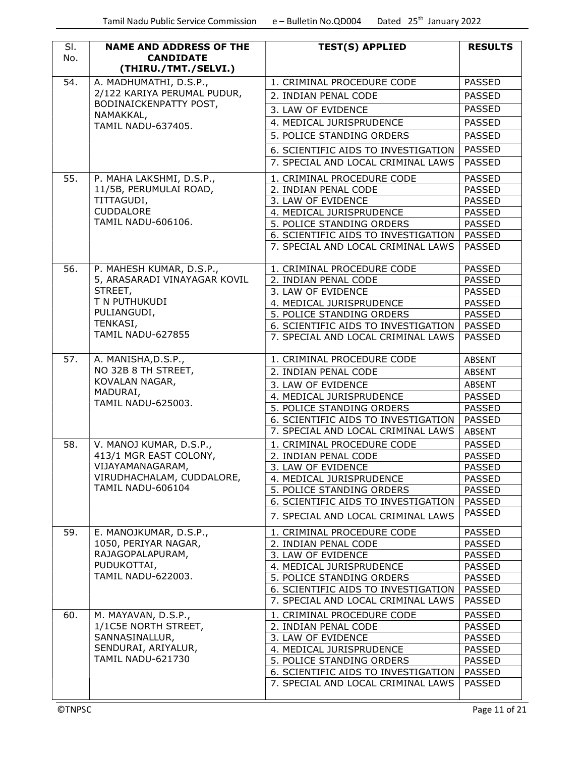| SI.<br>No.    | <b>NAME AND ADDRESS OF THE</b><br><b>CANDIDATE</b><br>(THIRU./TMT./SELVI.) | <b>TEST(S) APPLIED</b>              | <b>RESULTS</b> |
|---------------|----------------------------------------------------------------------------|-------------------------------------|----------------|
| 54.           | A. MADHUMATHI, D.S.P.,                                                     | 1. CRIMINAL PROCEDURE CODE          | <b>PASSED</b>  |
|               | 2/122 KARIYA PERUMAL PUDUR,                                                | 2. INDIAN PENAL CODE                | <b>PASSED</b>  |
|               | BODINAICKENPATTY POST,                                                     | 3. LAW OF EVIDENCE                  | <b>PASSED</b>  |
|               | NAMAKKAL,                                                                  | 4. MEDICAL JURISPRUDENCE            | <b>PASSED</b>  |
|               | <b>TAMIL NADU-637405.</b>                                                  |                                     |                |
|               |                                                                            | 5. POLICE STANDING ORDERS           | <b>PASSED</b>  |
|               |                                                                            | 6. SCIENTIFIC AIDS TO INVESTIGATION | <b>PASSED</b>  |
|               |                                                                            | 7. SPECIAL AND LOCAL CRIMINAL LAWS  | <b>PASSED</b>  |
| 55.           | P. MAHA LAKSHMI, D.S.P.,                                                   | 1. CRIMINAL PROCEDURE CODE          | <b>PASSED</b>  |
|               | 11/5B, PERUMULAI ROAD,                                                     | 2. INDIAN PENAL CODE                | <b>PASSED</b>  |
|               | TITTAGUDI,                                                                 | 3. LAW OF EVIDENCE                  | <b>PASSED</b>  |
|               | <b>CUDDALORE</b>                                                           | 4. MEDICAL JURISPRUDENCE            | <b>PASSED</b>  |
|               | TAMIL NADU-606106.                                                         | 5. POLICE STANDING ORDERS           | <b>PASSED</b>  |
|               |                                                                            | 6. SCIENTIFIC AIDS TO INVESTIGATION | <b>PASSED</b>  |
|               |                                                                            | 7. SPECIAL AND LOCAL CRIMINAL LAWS  | PASSED         |
| 56.           | P. MAHESH KUMAR, D.S.P.,                                                   | 1. CRIMINAL PROCEDURE CODE          | <b>PASSED</b>  |
|               | 5, ARASARADI VINAYAGAR KOVIL                                               | 2. INDIAN PENAL CODE                | <b>PASSED</b>  |
|               | STREET,                                                                    | 3. LAW OF EVIDENCE                  | <b>PASSED</b>  |
|               | T N PUTHUKUDI                                                              | 4. MEDICAL JURISPRUDENCE            | <b>PASSED</b>  |
|               | PULIANGUDI,                                                                | 5. POLICE STANDING ORDERS           | <b>PASSED</b>  |
|               | TENKASI,                                                                   | 6. SCIENTIFIC AIDS TO INVESTIGATION | <b>PASSED</b>  |
|               | <b>TAMIL NADU-627855</b>                                                   | 7. SPECIAL AND LOCAL CRIMINAL LAWS  | <b>PASSED</b>  |
| 57.           | A. MANISHA, D.S.P.,                                                        | 1. CRIMINAL PROCEDURE CODE          | ABSENT         |
|               | NO 32B 8 TH STREET,                                                        | 2. INDIAN PENAL CODE                | <b>ABSENT</b>  |
|               | KOVALAN NAGAR,                                                             | 3. LAW OF EVIDENCE                  | ABSENT         |
|               | MADURAI,                                                                   | 4. MEDICAL JURISPRUDENCE            | <b>PASSED</b>  |
|               | TAMIL NADU-625003.                                                         | 5. POLICE STANDING ORDERS           | <b>PASSED</b>  |
|               |                                                                            | 6. SCIENTIFIC AIDS TO INVESTIGATION | <b>PASSED</b>  |
|               |                                                                            | 7. SPECIAL AND LOCAL CRIMINAL LAWS  | ABSENT         |
| 58.           | V. MANOJ KUMAR, D.S.P.,                                                    | 1. CRIMINAL PROCEDURE CODE          | PASSED         |
|               | 413/1 MGR EAST COLONY,                                                     | 2. INDIAN PENAL CODE                | <b>PASSED</b>  |
|               | VIJAYAMANAGARAM,                                                           | 3. LAW OF EVIDENCE                  | PASSED         |
|               | VIRUDHACHALAM, CUDDALORE,                                                  | 4. MEDICAL JURISPRUDENCE            | <b>PASSED</b>  |
|               | <b>TAMIL NADU-606104</b>                                                   | 5. POLICE STANDING ORDERS           | <b>PASSED</b>  |
|               |                                                                            | 6. SCIENTIFIC AIDS TO INVESTIGATION | <b>PASSED</b>  |
|               |                                                                            | 7. SPECIAL AND LOCAL CRIMINAL LAWS  | <b>PASSED</b>  |
| 59.           | E. MANOJKUMAR, D.S.P.,                                                     | 1. CRIMINAL PROCEDURE CODE          | <b>PASSED</b>  |
|               | 1050, PERIYAR NAGAR,                                                       | 2. INDIAN PENAL CODE                | <b>PASSED</b>  |
|               | RAJAGOPALAPURAM,                                                           | 3. LAW OF EVIDENCE                  | <b>PASSED</b>  |
|               | PUDUKOTTAI,                                                                | 4. MEDICAL JURISPRUDENCE            | <b>PASSED</b>  |
|               | <b>TAMIL NADU-622003.</b>                                                  | 5. POLICE STANDING ORDERS           | <b>PASSED</b>  |
|               |                                                                            | 6. SCIENTIFIC AIDS TO INVESTIGATION | <b>PASSED</b>  |
|               |                                                                            | 7. SPECIAL AND LOCAL CRIMINAL LAWS  | <b>PASSED</b>  |
| 60.           | M. MAYAVAN, D.S.P.,                                                        | 1. CRIMINAL PROCEDURE CODE          | <b>PASSED</b>  |
|               | 1/1C5E NORTH STREET,                                                       | 2. INDIAN PENAL CODE                | <b>PASSED</b>  |
|               | SANNASINALLUR,                                                             | 3. LAW OF EVIDENCE                  | <b>PASSED</b>  |
|               | SENDURAI, ARIYALUR,                                                        | 4. MEDICAL JURISPRUDENCE            | <b>PASSED</b>  |
|               | TAMIL NADU-621730                                                          | 5. POLICE STANDING ORDERS           | <b>PASSED</b>  |
|               |                                                                            | 6. SCIENTIFIC AIDS TO INVESTIGATION | PASSED         |
|               |                                                                            | 7. SPECIAL AND LOCAL CRIMINAL LAWS  | <b>PASSED</b>  |
| <b>©TNPSC</b> |                                                                            |                                     | Page 11 of 21  |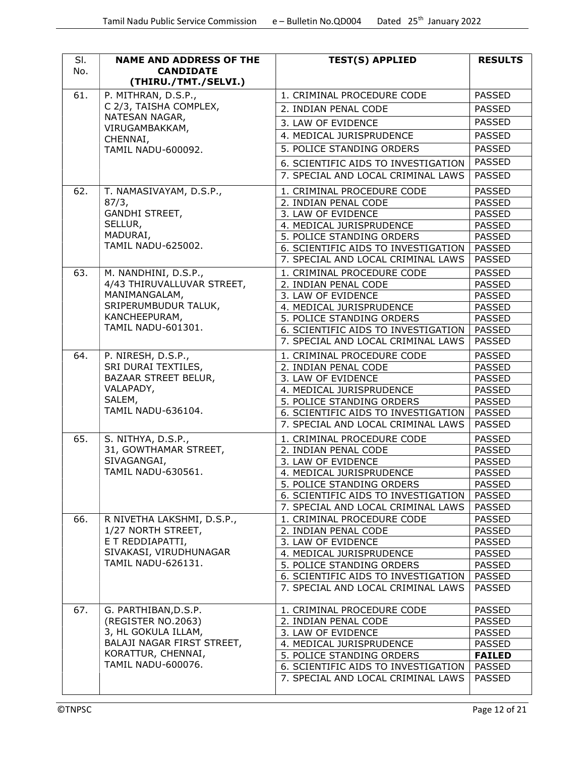| SI.<br>No. | <b>NAME AND ADDRESS OF THE</b><br><b>CANDIDATE</b><br>(THIRU./TMT./SELVI.) | <b>TEST(S) APPLIED</b>                                                    | <b>RESULTS</b>                 |
|------------|----------------------------------------------------------------------------|---------------------------------------------------------------------------|--------------------------------|
| 61.        | P. MITHRAN, D.S.P.,                                                        | 1. CRIMINAL PROCEDURE CODE                                                | <b>PASSED</b>                  |
|            | C 2/3, TAISHA COMPLEX,                                                     | 2. INDIAN PENAL CODE                                                      | <b>PASSED</b>                  |
|            | NATESAN NAGAR,                                                             | 3. LAW OF EVIDENCE                                                        | <b>PASSED</b>                  |
|            | VIRUGAMBAKKAM,<br>CHENNAI,                                                 | 4. MEDICAL JURISPRUDENCE                                                  | <b>PASSED</b>                  |
|            | <b>TAMIL NADU-600092.</b>                                                  | 5. POLICE STANDING ORDERS                                                 | <b>PASSED</b>                  |
|            |                                                                            | 6. SCIENTIFIC AIDS TO INVESTIGATION                                       | <b>PASSED</b>                  |
|            |                                                                            | 7. SPECIAL AND LOCAL CRIMINAL LAWS                                        | <b>PASSED</b>                  |
| 62.        | T. NAMASIVAYAM, D.S.P.,                                                    | 1. CRIMINAL PROCEDURE CODE                                                | <b>PASSED</b>                  |
|            | 87/3,                                                                      | 2. INDIAN PENAL CODE                                                      | <b>PASSED</b>                  |
|            | GANDHI STREET,                                                             | 3. LAW OF EVIDENCE                                                        | <b>PASSED</b>                  |
|            | SELLUR,                                                                    | 4. MEDICAL JURISPRUDENCE                                                  | <b>PASSED</b>                  |
|            | MADURAI,                                                                   | 5. POLICE STANDING ORDERS                                                 | <b>PASSED</b>                  |
|            | <b>TAMIL NADU-625002.</b>                                                  | 6. SCIENTIFIC AIDS TO INVESTIGATION                                       | <b>PASSED</b>                  |
|            |                                                                            | 7. SPECIAL AND LOCAL CRIMINAL LAWS                                        | <b>PASSED</b>                  |
| 63.        | M. NANDHINI, D.S.P.,                                                       | 1. CRIMINAL PROCEDURE CODE                                                | <b>PASSED</b>                  |
|            | 4/43 THIRUVALLUVAR STREET,                                                 | 2. INDIAN PENAL CODE                                                      | <b>PASSED</b>                  |
|            | MANIMANGALAM,                                                              | 3. LAW OF EVIDENCE                                                        | <b>PASSED</b>                  |
|            | SRIPERUMBUDUR TALUK,                                                       | 4. MEDICAL JURISPRUDENCE                                                  | <b>PASSED</b>                  |
|            | KANCHEEPURAM,                                                              | 5. POLICE STANDING ORDERS                                                 | <b>PASSED</b>                  |
|            | TAMIL NADU-601301.                                                         | 6. SCIENTIFIC AIDS TO INVESTIGATION                                       | <b>PASSED</b>                  |
|            |                                                                            | 7. SPECIAL AND LOCAL CRIMINAL LAWS                                        | <b>PASSED</b>                  |
| 64.        | P. NIRESH, D.S.P.,                                                         | 1. CRIMINAL PROCEDURE CODE                                                | <b>PASSED</b>                  |
|            | SRI DURAI TEXTILES,                                                        | 2. INDIAN PENAL CODE                                                      | <b>PASSED</b>                  |
|            | BAZAAR STREET BELUR,                                                       | 3. LAW OF EVIDENCE                                                        | <b>PASSED</b>                  |
|            | VALAPADY,                                                                  | 4. MEDICAL JURISPRUDENCE                                                  | <b>PASSED</b>                  |
|            | SALEM,<br><b>TAMIL NADU-636104.</b>                                        | 5. POLICE STANDING ORDERS                                                 | <b>PASSED</b>                  |
|            |                                                                            | 6. SCIENTIFIC AIDS TO INVESTIGATION<br>7. SPECIAL AND LOCAL CRIMINAL LAWS | <b>PASSED</b><br><b>PASSED</b> |
|            |                                                                            |                                                                           |                                |
| 65.        | S. NITHYA, D.S.P.,<br>31, GOWTHAMAR STREET,                                | 1. CRIMINAL PROCEDURE CODE                                                | <b>PASSED</b>                  |
|            | SIVAGANGAI,                                                                | 2. INDIAN PENAL CODE<br>3. LAW OF EVIDENCE                                | <b>PASSED</b><br><b>PASSED</b> |
|            | TAMIL NADU-630561.                                                         | 4. MEDICAL JURISPRUDENCE                                                  | <b>PASSED</b>                  |
|            |                                                                            | 5. POLICE STANDING ORDERS                                                 | <b>PASSED</b>                  |
|            |                                                                            | 6. SCIENTIFIC AIDS TO INVESTIGATION                                       | <b>PASSED</b>                  |
|            |                                                                            | 7. SPECIAL AND LOCAL CRIMINAL LAWS                                        | <b>PASSED</b>                  |
| 66.        | R NIVETHA LAKSHMI, D.S.P.,                                                 | 1. CRIMINAL PROCEDURE CODE                                                | <b>PASSED</b>                  |
|            | 1/27 NORTH STREET,                                                         | 2. INDIAN PENAL CODE                                                      | <b>PASSED</b>                  |
|            | E T REDDIAPATTI,                                                           | 3. LAW OF EVIDENCE                                                        | <b>PASSED</b>                  |
|            | SIVAKASI, VIRUDHUNAGAR                                                     | 4. MEDICAL JURISPRUDENCE                                                  | <b>PASSED</b>                  |
|            | TAMIL NADU-626131.                                                         | 5. POLICE STANDING ORDERS                                                 | <b>PASSED</b>                  |
|            |                                                                            | 6. SCIENTIFIC AIDS TO INVESTIGATION                                       | <b>PASSED</b>                  |
|            |                                                                            | 7. SPECIAL AND LOCAL CRIMINAL LAWS                                        | <b>PASSED</b>                  |
| 67.        | G. PARTHIBAN, D.S.P.                                                       | 1. CRIMINAL PROCEDURE CODE                                                | <b>PASSED</b>                  |
|            | (REGISTER NO.2063)                                                         | 2. INDIAN PENAL CODE                                                      | <b>PASSED</b>                  |
|            | 3, HL GOKULA ILLAM,                                                        | 3. LAW OF EVIDENCE                                                        | <b>PASSED</b>                  |
|            | BALAJI NAGAR FIRST STREET,                                                 | 4. MEDICAL JURISPRUDENCE                                                  | <b>PASSED</b>                  |
|            | KORATTUR, CHENNAI,                                                         | 5. POLICE STANDING ORDERS                                                 | <b>FAILED</b>                  |
|            | TAMIL NADU-600076.                                                         | 6. SCIENTIFIC AIDS TO INVESTIGATION                                       | <b>PASSED</b>                  |
|            |                                                                            | 7. SPECIAL AND LOCAL CRIMINAL LAWS                                        | <b>PASSED</b>                  |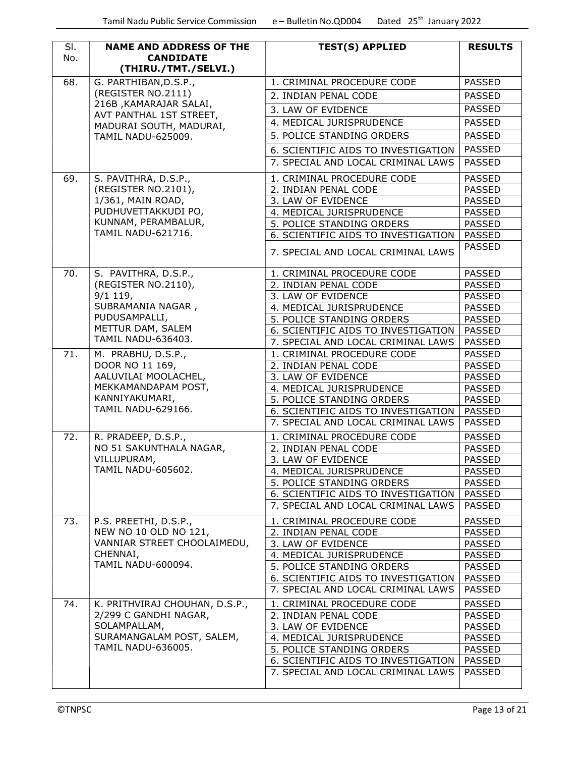| SI.<br>No. | <b>NAME AND ADDRESS OF THE</b><br><b>CANDIDATE</b><br>(THIRU./TMT./SELVI.) | <b>TEST(S) APPLIED</b>                                           | <b>RESULTS</b>                 |
|------------|----------------------------------------------------------------------------|------------------------------------------------------------------|--------------------------------|
| 68.        | G. PARTHIBAN, D.S.P.,                                                      | 1. CRIMINAL PROCEDURE CODE                                       | <b>PASSED</b>                  |
|            | (REGISTER NO.2111)                                                         | 2. INDIAN PENAL CODE                                             | <b>PASSED</b>                  |
|            | 216B , KAMARAJAR SALAI,                                                    |                                                                  | <b>PASSED</b>                  |
|            | AVT PANTHAL 1ST STREET,                                                    | 3. LAW OF EVIDENCE                                               |                                |
|            | MADURAI SOUTH, MADURAI,                                                    | 4. MEDICAL JURISPRUDENCE                                         | <b>PASSED</b>                  |
|            | TAMIL NADU-625009.                                                         | 5. POLICE STANDING ORDERS                                        | <b>PASSED</b>                  |
|            |                                                                            | 6. SCIENTIFIC AIDS TO INVESTIGATION                              | <b>PASSED</b>                  |
|            |                                                                            | 7. SPECIAL AND LOCAL CRIMINAL LAWS                               | <b>PASSED</b>                  |
| 69.        | S. PAVITHRA, D.S.P.,                                                       | 1. CRIMINAL PROCEDURE CODE                                       | <b>PASSED</b>                  |
|            | (REGISTER NO.2101),                                                        | 2. INDIAN PENAL CODE                                             | <b>PASSED</b>                  |
|            | 1/361, MAIN ROAD,                                                          | 3. LAW OF EVIDENCE                                               | <b>PASSED</b>                  |
|            | PUDHUVETTAKKUDI PO,                                                        | 4. MEDICAL JURISPRUDENCE                                         | <b>PASSED</b>                  |
|            | KUNNAM, PERAMBALUR,                                                        | 5. POLICE STANDING ORDERS                                        | <b>PASSED</b>                  |
|            | <b>TAMIL NADU-621716.</b>                                                  | 6. SCIENTIFIC AIDS TO INVESTIGATION                              | <b>PASSED</b>                  |
|            |                                                                            | 7. SPECIAL AND LOCAL CRIMINAL LAWS                               | <b>PASSED</b>                  |
| 70.        | S. PAVITHRA, D.S.P.,                                                       | 1. CRIMINAL PROCEDURE CODE                                       | <b>PASSED</b>                  |
|            | (REGISTER NO.2110),                                                        | 2. INDIAN PENAL CODE                                             | <b>PASSED</b>                  |
|            | $9/1$ 119,                                                                 | 3. LAW OF EVIDENCE                                               | <b>PASSED</b>                  |
|            | SUBRAMANIA NAGAR,                                                          | 4. MEDICAL JURISPRUDENCE                                         | <b>PASSED</b>                  |
|            | PUDUSAMPALLI,<br>METTUR DAM, SALEM                                         | 5. POLICE STANDING ORDERS                                        | <b>PASSED</b>                  |
|            | <b>TAMIL NADU-636403.</b>                                                  | 6. SCIENTIFIC AIDS TO INVESTIGATION                              | <b>PASSED</b>                  |
|            |                                                                            | 7. SPECIAL AND LOCAL CRIMINAL LAWS                               | <b>PASSED</b>                  |
| 71.        | M. PRABHU, D.S.P.,<br>DOOR NO 11 169,                                      | 1. CRIMINAL PROCEDURE CODE                                       | <b>PASSED</b>                  |
|            | AALUVILAI MOOLACHEL,                                                       | 2. INDIAN PENAL CODE<br>3. LAW OF EVIDENCE                       | <b>PASSED</b><br><b>PASSED</b> |
|            | MEKKAMANDAPAM POST,                                                        | 4. MEDICAL JURISPRUDENCE                                         | <b>PASSED</b>                  |
|            | KANNIYAKUMARI,                                                             | 5. POLICE STANDING ORDERS                                        | <b>PASSED</b>                  |
|            | TAMIL NADU-629166.                                                         | 6. SCIENTIFIC AIDS TO INVESTIGATION                              | <b>PASSED</b>                  |
|            |                                                                            | 7. SPECIAL AND LOCAL CRIMINAL LAWS                               | <b>PASSED</b>                  |
| 72.        | R. PRADEEP, D.S.P.,                                                        | 1. CRIMINAL PROCEDURE CODE                                       | <b>PASSED</b>                  |
|            | NO 51 SAKUNTHALA NAGAR,                                                    | 2. INDIAN PENAL CODE                                             | <b>PASSED</b>                  |
|            | VILLUPURAM,                                                                | 3. LAW OF EVIDENCE                                               | <b>PASSED</b>                  |
|            | <b>TAMIL NADU-605602.</b>                                                  | 4. MEDICAL JURISPRUDENCE                                         | <b>PASSED</b>                  |
|            |                                                                            | 5. POLICE STANDING ORDERS                                        | <b>PASSED</b>                  |
|            |                                                                            | 6. SCIENTIFIC AIDS TO INVESTIGATION                              | <b>PASSED</b>                  |
|            |                                                                            | 7. SPECIAL AND LOCAL CRIMINAL LAWS                               | <b>PASSED</b>                  |
| 73.        | P.S. PREETHI, D.S.P.,                                                      | 1. CRIMINAL PROCEDURE CODE                                       | <b>PASSED</b>                  |
|            | NEW NO 10 OLD NO 121,                                                      | 2. INDIAN PENAL CODE                                             | <b>PASSED</b>                  |
|            | VANNIAR STREET CHOOLAIMEDU,                                                | 3. LAW OF EVIDENCE                                               | <b>PASSED</b>                  |
|            | CHENNAI,                                                                   | 4. MEDICAL JURISPRUDENCE                                         | <b>PASSED</b>                  |
|            | TAMIL NADU-600094.                                                         | 5. POLICE STANDING ORDERS                                        | <b>PASSED</b>                  |
|            |                                                                            | 6. SCIENTIFIC AIDS TO INVESTIGATION                              | <b>PASSED</b>                  |
| 74.        | K. PRITHVIRAJ CHOUHAN, D.S.P.,                                             | 7. SPECIAL AND LOCAL CRIMINAL LAWS<br>1. CRIMINAL PROCEDURE CODE | <b>PASSED</b><br><b>PASSED</b> |
|            | 2/299 C GANDHI NAGAR,                                                      | 2. INDIAN PENAL CODE                                             | <b>PASSED</b>                  |
|            | SOLAMPALLAM,                                                               | 3. LAW OF EVIDENCE                                               | <b>PASSED</b>                  |
|            | SURAMANGALAM POST, SALEM,                                                  | 4. MEDICAL JURISPRUDENCE                                         | <b>PASSED</b>                  |
|            | <b>TAMIL NADU-636005.</b>                                                  | 5. POLICE STANDING ORDERS                                        | <b>PASSED</b>                  |
|            |                                                                            | 6. SCIENTIFIC AIDS TO INVESTIGATION                              | <b>PASSED</b>                  |
|            |                                                                            | 7. SPECIAL AND LOCAL CRIMINAL LAWS                               | <b>PASSED</b>                  |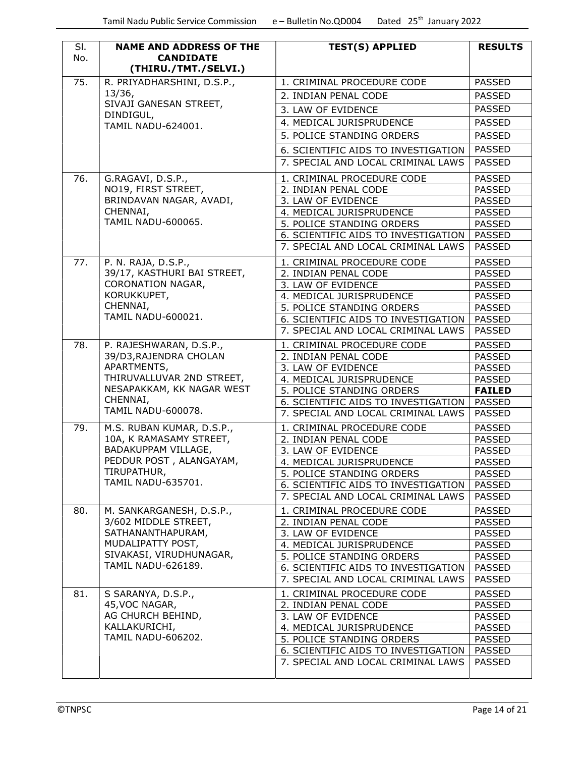| SI. | <b>NAME AND ADDRESS OF THE</b>           | <b>TEST(S) APPLIED</b>                                                    | <b>RESULTS</b>                 |
|-----|------------------------------------------|---------------------------------------------------------------------------|--------------------------------|
| No. | <b>CANDIDATE</b><br>(THIRU./TMT./SELVI.) |                                                                           |                                |
| 75. | R. PRIYADHARSHINI, D.S.P.,               | 1. CRIMINAL PROCEDURE CODE                                                | <b>PASSED</b>                  |
|     | 13/36,                                   | 2. INDIAN PENAL CODE                                                      | <b>PASSED</b>                  |
|     | SIVAJI GANESAN STREET,                   | 3. LAW OF EVIDENCE                                                        | <b>PASSED</b>                  |
|     | DINDIGUL,<br>TAMIL NADU-624001.          | 4. MEDICAL JURISPRUDENCE                                                  | <b>PASSED</b>                  |
|     |                                          | 5. POLICE STANDING ORDERS                                                 | <b>PASSED</b>                  |
|     |                                          | 6. SCIENTIFIC AIDS TO INVESTIGATION                                       | <b>PASSED</b>                  |
|     |                                          | 7. SPECIAL AND LOCAL CRIMINAL LAWS                                        | <b>PASSED</b>                  |
| 76. | G.RAGAVI, D.S.P.,                        | 1. CRIMINAL PROCEDURE CODE                                                | <b>PASSED</b>                  |
|     | NO19, FIRST STREET,                      | 2. INDIAN PENAL CODE                                                      | <b>PASSED</b>                  |
|     | BRINDAVAN NAGAR, AVADI,                  | 3. LAW OF EVIDENCE                                                        | <b>PASSED</b>                  |
|     | CHENNAI,                                 | 4. MEDICAL JURISPRUDENCE                                                  | <b>PASSED</b>                  |
|     | <b>TAMIL NADU-600065.</b>                | 5. POLICE STANDING ORDERS                                                 | <b>PASSED</b>                  |
|     |                                          | 6. SCIENTIFIC AIDS TO INVESTIGATION                                       | <b>PASSED</b>                  |
|     |                                          | 7. SPECIAL AND LOCAL CRIMINAL LAWS                                        | <b>PASSED</b>                  |
| 77. | P. N. RAJA, D.S.P.,                      | 1. CRIMINAL PROCEDURE CODE                                                | <b>PASSED</b>                  |
|     | 39/17, KASTHURI BAI STREET,              | 2. INDIAN PENAL CODE                                                      | <b>PASSED</b>                  |
|     | CORONATION NAGAR,                        | 3. LAW OF EVIDENCE                                                        | <b>PASSED</b>                  |
|     | KORUKKUPET,                              | 4. MEDICAL JURISPRUDENCE                                                  | <b>PASSED</b>                  |
|     | CHENNAI,                                 | 5. POLICE STANDING ORDERS                                                 | <b>PASSED</b>                  |
|     | <b>TAMIL NADU-600021.</b>                | 6. SCIENTIFIC AIDS TO INVESTIGATION                                       | <b>PASSED</b>                  |
|     |                                          | 7. SPECIAL AND LOCAL CRIMINAL LAWS                                        | <b>PASSED</b>                  |
| 78. | P. RAJESHWARAN, D.S.P.,                  | 1. CRIMINAL PROCEDURE CODE                                                | <b>PASSED</b>                  |
|     | 39/D3, RAJENDRA CHOLAN                   | 2. INDIAN PENAL CODE                                                      | <b>PASSED</b>                  |
|     | APARTMENTS,                              | 3. LAW OF EVIDENCE                                                        | <b>PASSED</b>                  |
|     | THIRUVALLUVAR 2ND STREET,                | 4. MEDICAL JURISPRUDENCE                                                  | <b>PASSED</b>                  |
|     | NESAPAKKAM, KK NAGAR WEST<br>CHENNAI,    | 5. POLICE STANDING ORDERS                                                 | <b>FAILED</b>                  |
|     | <b>TAMIL NADU-600078.</b>                | 6. SCIENTIFIC AIDS TO INVESTIGATION<br>7. SPECIAL AND LOCAL CRIMINAL LAWS | <b>PASSED</b><br><b>PASSED</b> |
| 79. | M.S. RUBAN KUMAR, D.S.P.,                | 1. CRIMINAL PROCEDURE CODE                                                | <b>PASSED</b>                  |
|     | 10A, K RAMASAMY STREET,                  | 2. INDIAN PENAL CODE                                                      | <b>PASSED</b>                  |
|     | BADAKUPPAM VILLAGE,                      | 3. LAW OF EVIDENCE                                                        | <b>PASSED</b>                  |
|     | PEDDUR POST, ALANGAYAM,                  | 4. MEDICAL JURISPRUDENCE                                                  | <b>PASSED</b>                  |
|     | TIRUPATHUR,                              | 5. POLICE STANDING ORDERS                                                 | <b>PASSED</b>                  |
|     | TAMIL NADU-635701.                       | 6. SCIENTIFIC AIDS TO INVESTIGATION                                       | PASSED                         |
|     |                                          | 7. SPECIAL AND LOCAL CRIMINAL LAWS                                        | <b>PASSED</b>                  |
| 80. | M. SANKARGANESH, D.S.P.,                 | 1. CRIMINAL PROCEDURE CODE                                                | <b>PASSED</b>                  |
|     | 3/602 MIDDLE STREET,                     | 2. INDIAN PENAL CODE                                                      | <b>PASSED</b>                  |
|     | SATHANANTHAPURAM,<br>MUDALIPATTY POST,   | 3. LAW OF EVIDENCE<br>4. MEDICAL JURISPRUDENCE                            | <b>PASSED</b>                  |
|     | SIVAKASI, VIRUDHUNAGAR,                  | 5. POLICE STANDING ORDERS                                                 | <b>PASSED</b><br><b>PASSED</b> |
|     | TAMIL NADU-626189.                       | 6. SCIENTIFIC AIDS TO INVESTIGATION                                       | <b>PASSED</b>                  |
|     |                                          | 7. SPECIAL AND LOCAL CRIMINAL LAWS                                        | <b>PASSED</b>                  |
| 81. | S SARANYA, D.S.P.,                       | 1. CRIMINAL PROCEDURE CODE                                                | <b>PASSED</b>                  |
|     | 45, VOC NAGAR,                           | 2. INDIAN PENAL CODE                                                      | <b>PASSED</b>                  |
|     | AG CHURCH BEHIND,                        | 3. LAW OF EVIDENCE                                                        | <b>PASSED</b>                  |
|     | KALLAKURICHI,                            | 4. MEDICAL JURISPRUDENCE                                                  | <b>PASSED</b>                  |
|     | <b>TAMIL NADU-606202.</b>                | 5. POLICE STANDING ORDERS                                                 | <b>PASSED</b>                  |
|     |                                          | 6. SCIENTIFIC AIDS TO INVESTIGATION                                       | <b>PASSED</b>                  |
|     |                                          | 7. SPECIAL AND LOCAL CRIMINAL LAWS                                        | <b>PASSED</b>                  |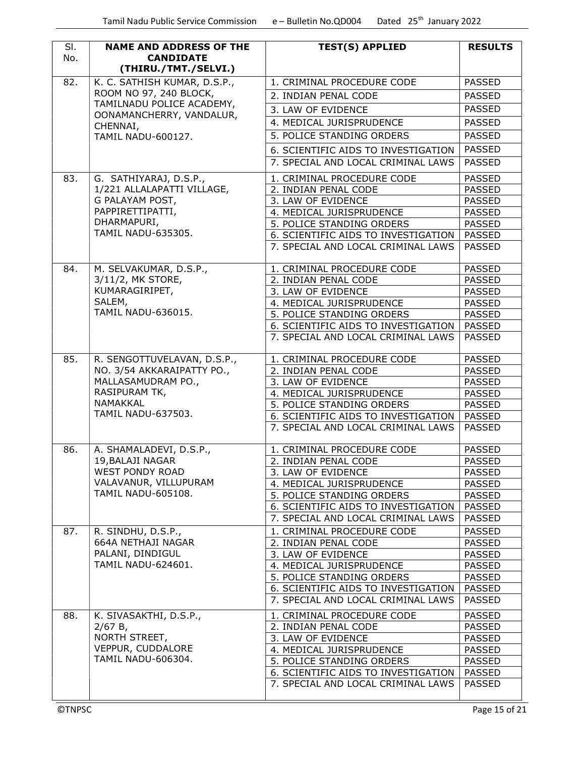| SI.<br>No.    | <b>NAME AND ADDRESS OF THE</b><br><b>CANDIDATE</b>   | <b>TEST(S) APPLIED</b>              | <b>RESULTS</b> |
|---------------|------------------------------------------------------|-------------------------------------|----------------|
| 82.           | (THIRU./TMT./SELVI.)<br>K. C. SATHISH KUMAR, D.S.P., | 1. CRIMINAL PROCEDURE CODE          | <b>PASSED</b>  |
|               | ROOM NO 97, 240 BLOCK,                               |                                     | <b>PASSED</b>  |
|               | TAMILNADU POLICE ACADEMY,                            | 2. INDIAN PENAL CODE                |                |
|               | OONAMANCHERRY, VANDALUR,                             | 3. LAW OF EVIDENCE                  | <b>PASSED</b>  |
|               | CHENNAI,                                             | 4. MEDICAL JURISPRUDENCE            | <b>PASSED</b>  |
|               | <b>TAMIL NADU-600127.</b>                            | 5. POLICE STANDING ORDERS           | <b>PASSED</b>  |
|               |                                                      | 6. SCIENTIFIC AIDS TO INVESTIGATION | <b>PASSED</b>  |
|               |                                                      | 7. SPECIAL AND LOCAL CRIMINAL LAWS  | <b>PASSED</b>  |
| 83.           | G. SATHIYARAJ, D.S.P.,                               | 1. CRIMINAL PROCEDURE CODE          | <b>PASSED</b>  |
|               | 1/221 ALLALAPATTI VILLAGE,                           | 2. INDIAN PENAL CODE                | <b>PASSED</b>  |
|               | G PALAYAM POST,                                      | 3. LAW OF EVIDENCE                  | <b>PASSED</b>  |
|               | PAPPIRETTIPATTI,                                     | 4. MEDICAL JURISPRUDENCE            | <b>PASSED</b>  |
|               | DHARMAPURI,                                          | 5. POLICE STANDING ORDERS           | <b>PASSED</b>  |
|               | TAMIL NADU-635305.                                   | 6. SCIENTIFIC AIDS TO INVESTIGATION | <b>PASSED</b>  |
|               |                                                      | 7. SPECIAL AND LOCAL CRIMINAL LAWS  | <b>PASSED</b>  |
| 84.           | M. SELVAKUMAR, D.S.P.,                               | 1. CRIMINAL PROCEDURE CODE          | <b>PASSED</b>  |
|               | 3/11/2, MK STORE,                                    | 2. INDIAN PENAL CODE                | <b>PASSED</b>  |
|               | KUMARAGIRIPET,                                       | 3. LAW OF EVIDENCE                  | <b>PASSED</b>  |
|               | SALEM,                                               | 4. MEDICAL JURISPRUDENCE            | <b>PASSED</b>  |
|               | <b>TAMIL NADU-636015.</b>                            | 5. POLICE STANDING ORDERS           | <b>PASSED</b>  |
|               |                                                      | 6. SCIENTIFIC AIDS TO INVESTIGATION | PASSED         |
|               |                                                      | 7. SPECIAL AND LOCAL CRIMINAL LAWS  | <b>PASSED</b>  |
| 85.           | R. SENGOTTUVELAVAN, D.S.P.,                          | 1. CRIMINAL PROCEDURE CODE          | <b>PASSED</b>  |
|               | NO. 3/54 AKKARAIPATTY PO.,                           | 2. INDIAN PENAL CODE                | <b>PASSED</b>  |
|               | MALLASAMUDRAM PO.,                                   | 3. LAW OF EVIDENCE                  | <b>PASSED</b>  |
|               | RASIPURAM TK,                                        | 4. MEDICAL JURISPRUDENCE            | <b>PASSED</b>  |
|               | NAMAKKAL                                             | 5. POLICE STANDING ORDERS           | <b>PASSED</b>  |
|               | <b>TAMIL NADU-637503.</b>                            | 6. SCIENTIFIC AIDS TO INVESTIGATION | PASSED         |
|               |                                                      | 7. SPECIAL AND LOCAL CRIMINAL LAWS  | <b>PASSED</b>  |
| 86.           | A. SHAMALADEVI, D.S.P.,                              | 1. CRIMINAL PROCEDURE CODE          | <b>PASSED</b>  |
|               | 19, BALAJI NAGAR                                     | 2. INDIAN PENAL CODE                | <b>PASSED</b>  |
|               | <b>WEST PONDY ROAD</b>                               | 3. LAW OF EVIDENCE                  | <b>PASSED</b>  |
|               | VALAVANUR, VILLUPURAM                                | 4. MEDICAL JURISPRUDENCE            | <b>PASSED</b>  |
|               | <b>TAMIL NADU-605108.</b>                            | 5. POLICE STANDING ORDERS           | <b>PASSED</b>  |
|               |                                                      | 6. SCIENTIFIC AIDS TO INVESTIGATION | <b>PASSED</b>  |
|               |                                                      | 7. SPECIAL AND LOCAL CRIMINAL LAWS  | <b>PASSED</b>  |
| 87.           | R. SINDHU, D.S.P.,                                   | 1. CRIMINAL PROCEDURE CODE          | <b>PASSED</b>  |
|               | 664A NETHAJI NAGAR                                   | 2. INDIAN PENAL CODE                | <b>PASSED</b>  |
|               | PALANI, DINDIGUL                                     | 3. LAW OF EVIDENCE                  | <b>PASSED</b>  |
|               | TAMIL NADU-624601.                                   | 4. MEDICAL JURISPRUDENCE            | <b>PASSED</b>  |
|               |                                                      | 5. POLICE STANDING ORDERS           | <b>PASSED</b>  |
|               |                                                      | 6. SCIENTIFIC AIDS TO INVESTIGATION | PASSED         |
|               |                                                      | 7. SPECIAL AND LOCAL CRIMINAL LAWS  | <b>PASSED</b>  |
| 88.           | K. SIVASAKTHI, D.S.P.,                               | 1. CRIMINAL PROCEDURE CODE          | <b>PASSED</b>  |
|               | 2/67 B,                                              | 2. INDIAN PENAL CODE                | <b>PASSED</b>  |
|               | NORTH STREET,                                        | 3. LAW OF EVIDENCE                  | <b>PASSED</b>  |
|               | VEPPUR, CUDDALORE                                    | 4. MEDICAL JURISPRUDENCE            | <b>PASSED</b>  |
|               | TAMIL NADU-606304.                                   | 5. POLICE STANDING ORDERS           | <b>PASSED</b>  |
|               |                                                      | 6. SCIENTIFIC AIDS TO INVESTIGATION | PASSED         |
|               |                                                      | 7. SPECIAL AND LOCAL CRIMINAL LAWS  | <b>PASSED</b>  |
| <b>©TNPSC</b> |                                                      |                                     | Page 15 of 21  |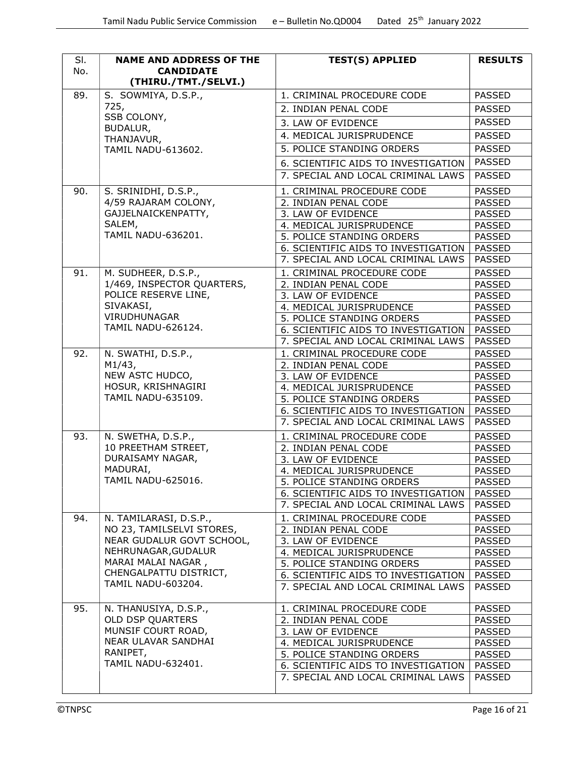| SI.<br>No. | <b>NAME AND ADDRESS OF THE</b>            | <b>TEST(S) APPLIED</b>                         | <b>RESULTS</b>                 |
|------------|-------------------------------------------|------------------------------------------------|--------------------------------|
|            | <b>CANDIDATE</b><br>(THIRU./TMT./SELVI.)  |                                                |                                |
| 89.        | S. SOWMIYA, D.S.P.,                       | 1. CRIMINAL PROCEDURE CODE                     | <b>PASSED</b>                  |
|            | 725,                                      | 2. INDIAN PENAL CODE                           | <b>PASSED</b>                  |
|            | SSB COLONY,                               | 3. LAW OF EVIDENCE                             | <b>PASSED</b>                  |
|            | BUDALUR,<br>THANJAVUR,                    | 4. MEDICAL JURISPRUDENCE                       | <b>PASSED</b>                  |
|            | <b>TAMIL NADU-613602.</b>                 | 5. POLICE STANDING ORDERS                      | <b>PASSED</b>                  |
|            |                                           | 6. SCIENTIFIC AIDS TO INVESTIGATION            | <b>PASSED</b>                  |
|            |                                           | 7. SPECIAL AND LOCAL CRIMINAL LAWS             | <b>PASSED</b>                  |
| 90.        | S. SRINIDHI, D.S.P.,                      | 1. CRIMINAL PROCEDURE CODE                     | <b>PASSED</b>                  |
|            | 4/59 RAJARAM COLONY,                      | 2. INDIAN PENAL CODE                           | <b>PASSED</b>                  |
|            | GAJJELNAICKENPATTY,                       | 3. LAW OF EVIDENCE                             | <b>PASSED</b>                  |
|            | SALEM,                                    | 4. MEDICAL JURISPRUDENCE                       | <b>PASSED</b>                  |
|            | <b>TAMIL NADU-636201.</b>                 | 5. POLICE STANDING ORDERS                      | <b>PASSED</b>                  |
|            |                                           | 6. SCIENTIFIC AIDS TO INVESTIGATION            | <b>PASSED</b>                  |
|            |                                           | 7. SPECIAL AND LOCAL CRIMINAL LAWS             | <b>PASSED</b>                  |
| 91.        | M. SUDHEER, D.S.P.,                       | 1. CRIMINAL PROCEDURE CODE                     | <b>PASSED</b>                  |
|            | 1/469, INSPECTOR QUARTERS,                | 2. INDIAN PENAL CODE                           | <b>PASSED</b>                  |
|            | POLICE RESERVE LINE,                      | 3. LAW OF EVIDENCE                             | <b>PASSED</b>                  |
|            | SIVAKASI,                                 | 4. MEDICAL JURISPRUDENCE                       | <b>PASSED</b>                  |
|            | VIRUDHUNAGAR<br>TAMIL NADU-626124.        | 5. POLICE STANDING ORDERS                      | <b>PASSED</b>                  |
|            |                                           | 6. SCIENTIFIC AIDS TO INVESTIGATION            | <b>PASSED</b>                  |
|            |                                           | 7. SPECIAL AND LOCAL CRIMINAL LAWS             | <b>PASSED</b>                  |
| 92.        | N. SWATHI, D.S.P.,                        | 1. CRIMINAL PROCEDURE CODE                     | <b>PASSED</b>                  |
|            | M1/43,<br>NEW ASTC HUDCO,                 | 2. INDIAN PENAL CODE                           | <b>PASSED</b>                  |
|            | HOSUR, KRISHNAGIRI                        | 3. LAW OF EVIDENCE<br>4. MEDICAL JURISPRUDENCE | <b>PASSED</b><br><b>PASSED</b> |
|            | <b>TAMIL NADU-635109.</b>                 | 5. POLICE STANDING ORDERS                      | <b>PASSED</b>                  |
|            |                                           | 6. SCIENTIFIC AIDS TO INVESTIGATION            | <b>PASSED</b>                  |
|            |                                           | 7. SPECIAL AND LOCAL CRIMINAL LAWS             | <b>PASSED</b>                  |
| 93.        | N. SWETHA, D.S.P.,                        | 1. CRIMINAL PROCEDURE CODE                     | <b>PASSED</b>                  |
|            | 10 PREETHAM STREET,                       | 2. INDIAN PENAL CODE                           | <b>PASSED</b>                  |
|            | DURAISAMY NAGAR,                          | 3. LAW OF EVIDENCE                             | <b>PASSED</b>                  |
|            | MADURAI,                                  | 4. MEDICAL JURISPRUDENCE                       | <b>PASSED</b>                  |
|            | TAMIL NADU-625016.                        | 5. POLICE STANDING ORDERS                      | <b>PASSED</b>                  |
|            |                                           | 6. SCIENTIFIC AIDS TO INVESTIGATION            | <b>PASSED</b>                  |
|            |                                           | 7. SPECIAL AND LOCAL CRIMINAL LAWS             | <b>PASSED</b>                  |
| 94.        | N. TAMILARASI, D.S.P.,                    | 1. CRIMINAL PROCEDURE CODE                     | <b>PASSED</b>                  |
|            | NO 23, TAMILSELVI STORES,                 | 2. INDIAN PENAL CODE                           | <b>PASSED</b>                  |
|            | NEAR GUDALUR GOVT SCHOOL,                 | 3. LAW OF EVIDENCE                             | <b>PASSED</b>                  |
|            | NEHRUNAGAR, GUDALUR<br>MARAI MALAI NAGAR, | 4. MEDICAL JURISPRUDENCE                       | <b>PASSED</b>                  |
|            | CHENGALPATTU DISTRICT,                    | 5. POLICE STANDING ORDERS                      | <b>PASSED</b>                  |
|            | TAMIL NADU-603204.                        | 6. SCIENTIFIC AIDS TO INVESTIGATION            | <b>PASSED</b>                  |
|            |                                           | 7. SPECIAL AND LOCAL CRIMINAL LAWS             | <b>PASSED</b>                  |
| 95.        | N. THANUSIYA, D.S.P.,                     | 1. CRIMINAL PROCEDURE CODE                     | <b>PASSED</b>                  |
|            | <b>OLD DSP QUARTERS</b>                   | 2. INDIAN PENAL CODE                           | <b>PASSED</b>                  |
|            | MUNSIF COURT ROAD,                        | 3. LAW OF EVIDENCE                             | <b>PASSED</b>                  |
|            | NEAR ULAVAR SANDHAI                       | 4. MEDICAL JURISPRUDENCE                       | <b>PASSED</b>                  |
|            | RANIPET,<br>TAMIL NADU-632401.            | 5. POLICE STANDING ORDERS                      | <b>PASSED</b>                  |
|            |                                           | 6. SCIENTIFIC AIDS TO INVESTIGATION            | <b>PASSED</b>                  |
|            |                                           | 7. SPECIAL AND LOCAL CRIMINAL LAWS             | PASSED                         |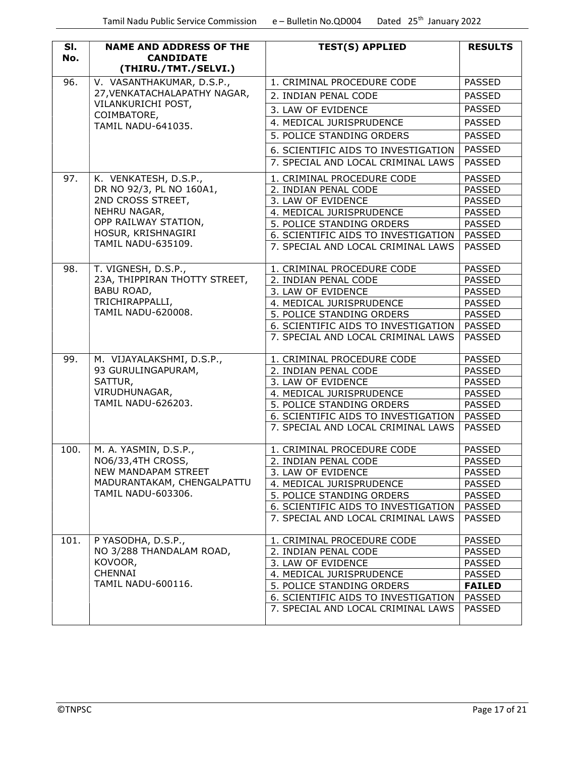| SI.<br>No. | <b>NAME AND ADDRESS OF THE</b><br><b>CANDIDATE</b><br>(THIRU./TMT./SELVI.) | <b>TEST(S) APPLIED</b>              | <b>RESULTS</b> |
|------------|----------------------------------------------------------------------------|-------------------------------------|----------------|
| 96.        | V. VASANTHAKUMAR, D.S.P.,                                                  | 1. CRIMINAL PROCEDURE CODE          | <b>PASSED</b>  |
|            | 27, VENKATACHALAPATHY NAGAR,                                               | 2. INDIAN PENAL CODE                | <b>PASSED</b>  |
|            | VILANKURICHI POST,                                                         | 3. LAW OF EVIDENCE                  | <b>PASSED</b>  |
|            | COIMBATORE,                                                                | 4. MEDICAL JURISPRUDENCE            | <b>PASSED</b>  |
|            | <b>TAMIL NADU-641035.</b>                                                  | 5. POLICE STANDING ORDERS           | <b>PASSED</b>  |
|            |                                                                            |                                     |                |
|            |                                                                            | 6. SCIENTIFIC AIDS TO INVESTIGATION | <b>PASSED</b>  |
|            |                                                                            | 7. SPECIAL AND LOCAL CRIMINAL LAWS  | <b>PASSED</b>  |
| 97.        | K. VENKATESH, D.S.P.,                                                      | 1. CRIMINAL PROCEDURE CODE          | <b>PASSED</b>  |
|            | DR NO 92/3, PL NO 160A1,                                                   | 2. INDIAN PENAL CODE                | <b>PASSED</b>  |
|            | 2ND CROSS STREET,                                                          | 3. LAW OF EVIDENCE                  | <b>PASSED</b>  |
|            | NEHRU NAGAR,                                                               | 4. MEDICAL JURISPRUDENCE            | <b>PASSED</b>  |
|            | OPP RAILWAY STATION,                                                       | 5. POLICE STANDING ORDERS           | <b>PASSED</b>  |
|            | HOSUR, KRISHNAGIRI                                                         | 6. SCIENTIFIC AIDS TO INVESTIGATION | <b>PASSED</b>  |
|            | <b>TAMIL NADU-635109.</b>                                                  | 7. SPECIAL AND LOCAL CRIMINAL LAWS  | <b>PASSED</b>  |
| 98.        | T. VIGNESH, D.S.P.,                                                        | 1. CRIMINAL PROCEDURE CODE          | <b>PASSED</b>  |
|            | 23A, THIPPIRAN THOTTY STREET,                                              | 2. INDIAN PENAL CODE                | <b>PASSED</b>  |
|            | BABU ROAD,                                                                 | 3. LAW OF EVIDENCE                  | <b>PASSED</b>  |
|            | TRICHIRAPPALLI,                                                            | 4. MEDICAL JURISPRUDENCE            | <b>PASSED</b>  |
|            | <b>TAMIL NADU-620008.</b>                                                  | 5. POLICE STANDING ORDERS           | <b>PASSED</b>  |
|            |                                                                            | 6. SCIENTIFIC AIDS TO INVESTIGATION | <b>PASSED</b>  |
|            |                                                                            | 7. SPECIAL AND LOCAL CRIMINAL LAWS  | <b>PASSED</b>  |
| 99.        | M. VIJAYALAKSHMI, D.S.P.,                                                  | 1. CRIMINAL PROCEDURE CODE          | PASSED         |
|            | 93 GURULINGAPURAM,                                                         | 2. INDIAN PENAL CODE                | <b>PASSED</b>  |
|            | SATTUR,                                                                    | 3. LAW OF EVIDENCE                  | <b>PASSED</b>  |
|            | VIRUDHUNAGAR,                                                              | 4. MEDICAL JURISPRUDENCE            | <b>PASSED</b>  |
|            | <b>TAMIL NADU-626203.</b>                                                  | 5. POLICE STANDING ORDERS           | <b>PASSED</b>  |
|            |                                                                            | 6. SCIENTIFIC AIDS TO INVESTIGATION | <b>PASSED</b>  |
|            |                                                                            | 7. SPECIAL AND LOCAL CRIMINAL LAWS  | <b>PASSED</b>  |
| 100.       | M. A. YASMIN, D.S.P.,                                                      | 1. CRIMINAL PROCEDURE CODE          | <b>PASSED</b>  |
|            | NO6/33,4TH CROSS,<br>NEW MANDAPAM STREET<br>MADURANTAKAM, CHENGALPATTU     | 2. INDIAN PENAL CODE                | <b>PASSED</b>  |
|            |                                                                            | 3. LAW OF EVIDENCE                  | <b>PASSED</b>  |
|            |                                                                            | 4. MEDICAL JURISPRUDENCE            | <b>PASSED</b>  |
|            | TAMIL NADU-603306.                                                         | 5. POLICE STANDING ORDERS           | <b>PASSED</b>  |
|            |                                                                            | 6. SCIENTIFIC AIDS TO INVESTIGATION | <b>PASSED</b>  |
|            |                                                                            | 7. SPECIAL AND LOCAL CRIMINAL LAWS  | <b>PASSED</b>  |
| 101.       | P YASODHA, D.S.P.,                                                         | 1. CRIMINAL PROCEDURE CODE          | <b>PASSED</b>  |
|            | NO 3/288 THANDALAM ROAD,                                                   | 2. INDIAN PENAL CODE                | <b>PASSED</b>  |
|            | KOVOOR,                                                                    | 3. LAW OF EVIDENCE                  | <b>PASSED</b>  |
|            | <b>CHENNAI</b>                                                             | 4. MEDICAL JURISPRUDENCE            | <b>PASSED</b>  |
|            | TAMIL NADU-600116.                                                         | 5. POLICE STANDING ORDERS           | <b>FAILED</b>  |
|            |                                                                            | 6. SCIENTIFIC AIDS TO INVESTIGATION | <b>PASSED</b>  |
|            |                                                                            | 7. SPECIAL AND LOCAL CRIMINAL LAWS  | <b>PASSED</b>  |
|            |                                                                            |                                     |                |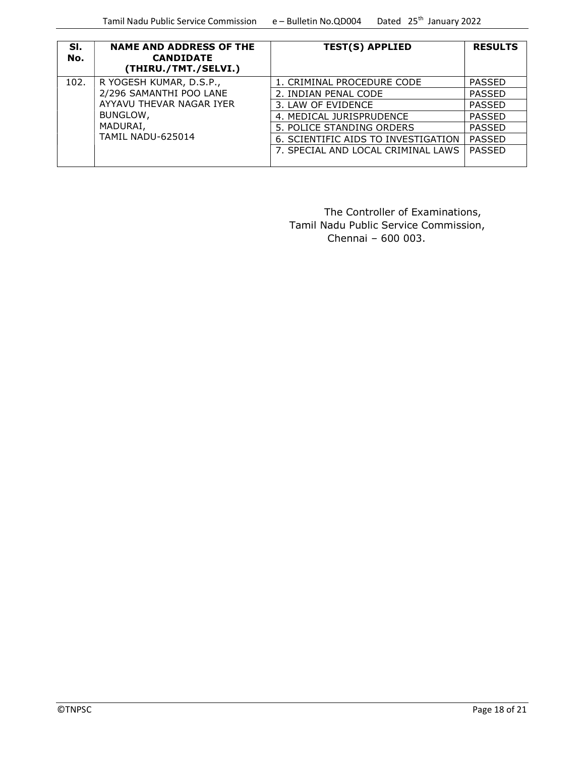| SI.<br>No. | <b>NAME AND ADDRESS OF THE</b><br><b>CANDIDATE</b><br>(THIRU./TMT./SELVI.) | <b>TEST(S) APPLIED</b>              | <b>RESULTS</b> |
|------------|----------------------------------------------------------------------------|-------------------------------------|----------------|
| 102.       | R YOGESH KUMAR, D.S.P.,                                                    | 1. CRIMINAL PROCEDURE CODE          | PASSED         |
|            | 2/296 SAMANTHI POO LANE                                                    | 2. INDIAN PENAL CODE                | <b>PASSED</b>  |
|            | AYYAVU THEVAR NAGAR IYER                                                   | 3. LAW OF EVIDENCE                  | <b>PASSED</b>  |
|            | BUNGLOW,                                                                   | 4. MEDICAL JURISPRUDENCE            | <b>PASSED</b>  |
|            | MADURAI,<br>TAMIL NADU-625014                                              | 5. POLICE STANDING ORDERS           | <b>PASSED</b>  |
|            |                                                                            | 6. SCIENTIFIC AIDS TO INVESTIGATION | <b>PASSED</b>  |
|            |                                                                            | 7. SPECIAL AND LOCAL CRIMINAL LAWS  | <b>PASSED</b>  |

 The Controller of Examinations, Tamil Nadu Public Service Commission,  $Chennai - 600003$ .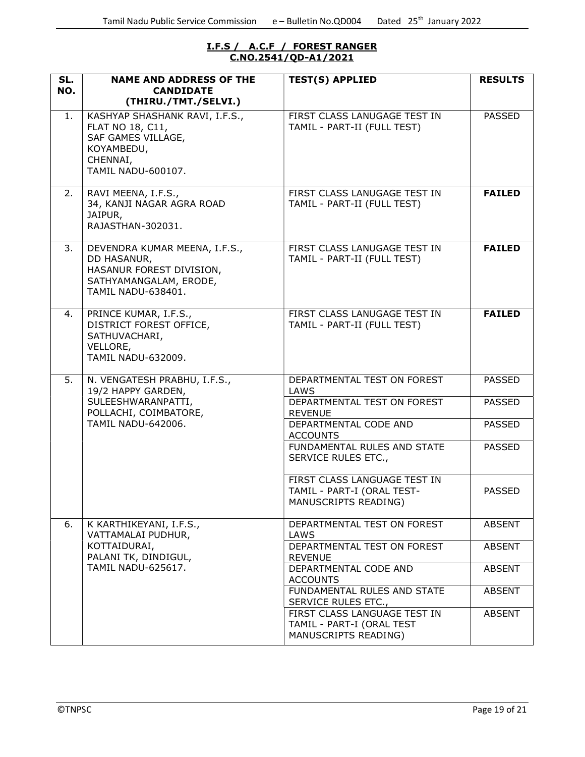#### I.F.S / A.C.F / FOREST RANGER C.NO.2541/QD-A1/2021

| SL.<br>NO. | <b>NAME AND ADDRESS OF THE</b><br><b>CANDIDATE</b>                                                                              | <b>TEST(S) APPLIED</b>                                                             | <b>RESULTS</b> |
|------------|---------------------------------------------------------------------------------------------------------------------------------|------------------------------------------------------------------------------------|----------------|
|            | (THIRU./TMT./SELVI.)                                                                                                            |                                                                                    |                |
| 1.         | KASHYAP SHASHANK RAVI, I.F.S.,<br>FLAT NO 18, C11,<br>SAF GAMES VILLAGE,<br>KOYAMBEDU,<br>CHENNAI,<br>TAMIL NADU-600107.        | FIRST CLASS LANUGAGE TEST IN<br>TAMIL - PART-II (FULL TEST)                        | <b>PASSED</b>  |
| 2.         | RAVI MEENA, I.F.S.,<br>34, KANJI NAGAR AGRA ROAD<br>JAIPUR,<br>RAJASTHAN-302031.                                                | FIRST CLASS LANUGAGE TEST IN<br>TAMIL - PART-II (FULL TEST)                        | <b>FAILED</b>  |
| 3.         | DEVENDRA KUMAR MEENA, I.F.S.,<br>DD HASANUR,<br>HASANUR FOREST DIVISION,<br>SATHYAMANGALAM, ERODE,<br><b>TAMIL NADU-638401.</b> | FIRST CLASS LANUGAGE TEST IN<br>TAMIL - PART-II (FULL TEST)                        | <b>FAILED</b>  |
| 4.         | PRINCE KUMAR, I.F.S.,<br>DISTRICT FOREST OFFICE,<br>SATHUVACHARI,<br>VELLORE,<br><b>TAMIL NADU-632009.</b>                      | FIRST CLASS LANUGAGE TEST IN<br>TAMIL - PART-II (FULL TEST)                        | <b>FAILED</b>  |
| 5.         | N. VENGATESH PRABHU, I.F.S.,<br>19/2 HAPPY GARDEN,                                                                              | DEPARTMENTAL TEST ON FOREST<br>LAWS                                                | <b>PASSED</b>  |
|            | SULEESHWARANPATTI,<br>POLLACHI, COIMBATORE,                                                                                     | DEPARTMENTAL TEST ON FOREST<br><b>REVENUE</b>                                      | <b>PASSED</b>  |
|            | <b>TAMIL NADU-642006.</b>                                                                                                       | DEPARTMENTAL CODE AND<br><b>ACCOUNTS</b>                                           | <b>PASSED</b>  |
|            |                                                                                                                                 | FUNDAMENTAL RULES AND STATE<br>SERVICE RULES ETC.,                                 | <b>PASSED</b>  |
|            |                                                                                                                                 | FIRST CLASS LANGUAGE TEST IN<br>TAMIL - PART-I (ORAL TEST-<br>MANUSCRIPTS READING) | <b>PASSED</b>  |
| 6.         | K KARTHIKEYANI, I.F.S.,<br>VATTAMALAI PUDHUR,                                                                                   | DEPARTMENTAL TEST ON FOREST<br>LAWS                                                | <b>ABSENT</b>  |
|            | KOTTAIDURAI,<br>PALANI TK, DINDIGUL,                                                                                            | DEPARTMENTAL TEST ON FOREST<br><b>REVENUE</b>                                      | <b>ABSENT</b>  |
|            | <b>TAMIL NADU-625617.</b>                                                                                                       | DEPARTMENTAL CODE AND<br><b>ACCOUNTS</b>                                           | <b>ABSENT</b>  |
|            |                                                                                                                                 | FUNDAMENTAL RULES AND STATE<br>SERVICE RULES ETC.,                                 | <b>ABSENT</b>  |
|            |                                                                                                                                 | FIRST CLASS LANGUAGE TEST IN<br>TAMIL - PART-I (ORAL TEST<br>MANUSCRIPTS READING)  | <b>ABSENT</b>  |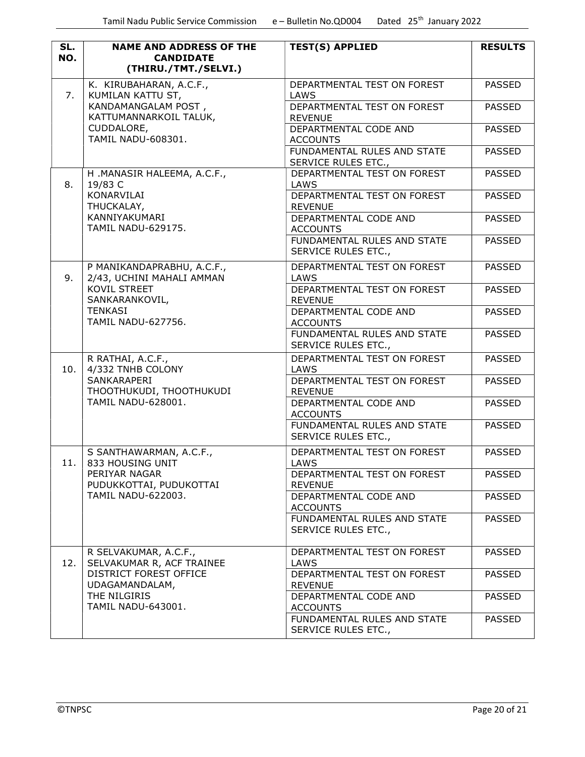| SL. | <b>NAME AND ADDRESS OF THE</b>                          | <b>TEST(S) APPLIED</b>                             | <b>RESULTS</b> |
|-----|---------------------------------------------------------|----------------------------------------------------|----------------|
| NO. | <b>CANDIDATE</b><br>(THIRU./TMT./SELVI.)                |                                                    |                |
|     | K. KIRUBAHARAN, A.C.F.,                                 | DEPARTMENTAL TEST ON FOREST                        | <b>PASSED</b>  |
| 7.  | KUMILAN KATTU ST,                                       | LAWS<br>DEPARTMENTAL TEST ON FOREST                |                |
|     | KANDAMANGALAM POST,<br>KATTUMANNARKOIL TALUK,           | <b>REVENUE</b>                                     | <b>PASSED</b>  |
|     | CUDDALORE,                                              | DEPARTMENTAL CODE AND                              | PASSED         |
|     | TAMIL NADU-608301.                                      | <b>ACCOUNTS</b>                                    |                |
|     |                                                         | FUNDAMENTAL RULES AND STATE<br>SERVICE RULES ETC., | <b>PASSED</b>  |
|     | H.MANASIR HALEEMA, A.C.F.,                              | DEPARTMENTAL TEST ON FOREST                        | <b>PASSED</b>  |
| 8.  | 19/83 C<br>KONARVILAI                                   | LAWS<br>DEPARTMENTAL TEST ON FOREST                | <b>PASSED</b>  |
|     | THUCKALAY,                                              | <b>REVENUE</b>                                     |                |
|     | KANNIYAKUMARI<br><b>TAMIL NADU-629175.</b>              | DEPARTMENTAL CODE AND<br><b>ACCOUNTS</b>           | <b>PASSED</b>  |
|     |                                                         | FUNDAMENTAL RULES AND STATE                        | <b>PASSED</b>  |
|     |                                                         | SERVICE RULES ETC.,                                |                |
| 9.  | P MANIKANDAPRABHU, A.C.F.,<br>2/43, UCHINI MAHALI AMMAN | DEPARTMENTAL TEST ON FOREST<br>LAWS                | <b>PASSED</b>  |
|     | KOVIL STREET<br>SANKARANKOVIL,                          | DEPARTMENTAL TEST ON FOREST<br><b>REVENUE</b>      | <b>PASSED</b>  |
|     | <b>TENKASI</b>                                          | DEPARTMENTAL CODE AND                              | <b>PASSED</b>  |
|     | <b>TAMIL NADU-627756.</b>                               | <b>ACCOUNTS</b>                                    |                |
|     |                                                         | FUNDAMENTAL RULES AND STATE<br>SERVICE RULES ETC., | <b>PASSED</b>  |
| 10. | R RATHAI, A.C.F.,<br>4/332 TNHB COLONY                  | DEPARTMENTAL TEST ON FOREST<br>LAWS                | <b>PASSED</b>  |
|     | SANKARAPERI                                             | DEPARTMENTAL TEST ON FOREST                        | <b>PASSED</b>  |
|     | THOOTHUKUDI, THOOTHUKUDI                                | <b>REVENUE</b>                                     |                |
|     | TAMIL NADU-628001.                                      | DEPARTMENTAL CODE AND<br><b>ACCOUNTS</b>           | <b>PASSED</b>  |
|     |                                                         | FUNDAMENTAL RULES AND STATE                        | <b>PASSED</b>  |
|     |                                                         | SERVICE RULES ETC.,                                |                |
| 11. | S SANTHAWARMAN, A.C.F.,<br>833 HOUSING UNIT             | DEPARTMENTAL TEST ON FOREST<br>LAWS                | <b>PASSED</b>  |
|     | PERIYAR NAGAR<br>PUDUKKOTTAI, PUDUKOTTAI                | DEPARTMENTAL TEST ON FOREST<br><b>REVENUE</b>      | <b>PASSED</b>  |
|     | <b>TAMIL NADU-622003.</b>                               | DEPARTMENTAL CODE AND<br><b>ACCOUNTS</b>           | <b>PASSED</b>  |
|     |                                                         | FUNDAMENTAL RULES AND STATE                        | PASSED         |
|     |                                                         | SERVICE RULES ETC.,                                |                |
| 12. | R SELVAKUMAR, A.C.F.,<br>SELVAKUMAR R, ACF TRAINEE      | DEPARTMENTAL TEST ON FOREST<br>LAWS                | <b>PASSED</b>  |
|     | DISTRICT FOREST OFFICE<br>UDAGAMANDALAM,                | DEPARTMENTAL TEST ON FOREST<br><b>REVENUE</b>      | <b>PASSED</b>  |
|     | THE NILGIRIS<br>TAMIL NADU-643001.                      | DEPARTMENTAL CODE AND                              | <b>PASSED</b>  |
|     |                                                         | <b>ACCOUNTS</b><br>FUNDAMENTAL RULES AND STATE     | <b>PASSED</b>  |
|     |                                                         | SERVICE RULES ETC.,                                |                |